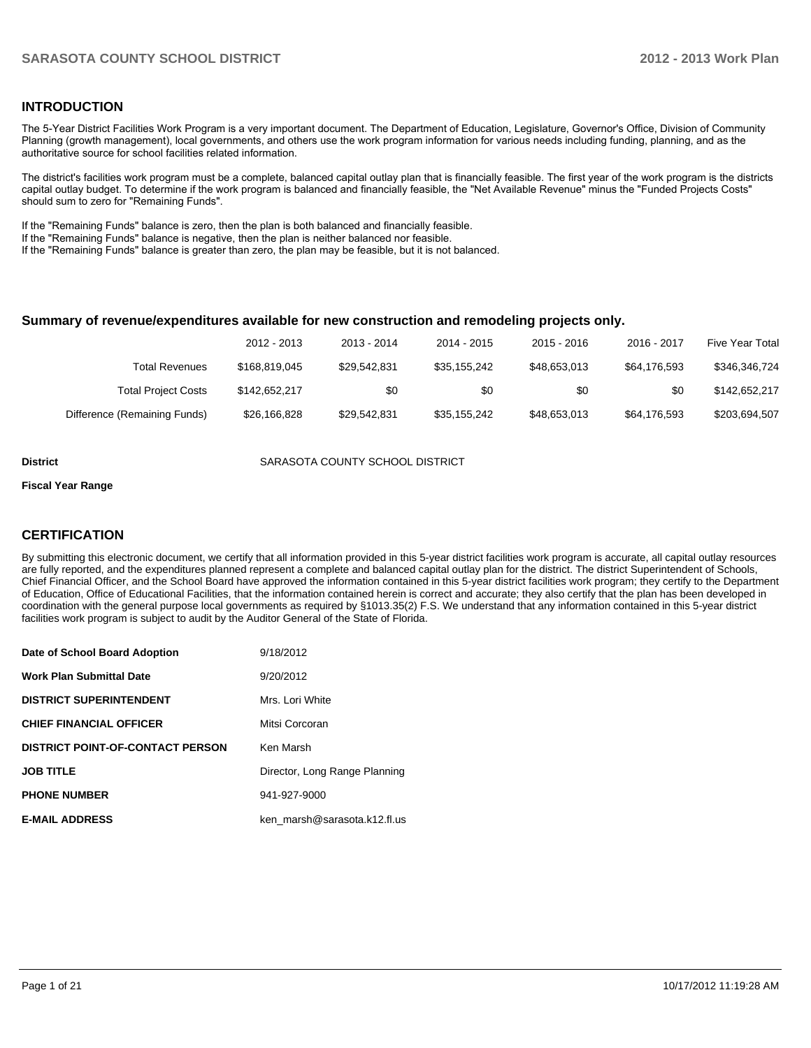## **INTRODUCTION**

The 5-Year District Facilities Work Program is a very important document. The Department of Education, Legislature, Governor's Office, Division of Community Planning (growth management), local governments, and others use the work program information for various needs including funding, planning, and as the authoritative source for school facilities related information.

The district's facilities work program must be a complete, balanced capital outlay plan that is financially feasible. The first year of the work program is the districts capital outlay budget. To determine if the work program is balanced and financially feasible, the "Net Available Revenue" minus the "Funded Projects Costs" should sum to zero for "Remaining Funds".

If the "Remaining Funds" balance is zero, then the plan is both balanced and financially feasible.

If the "Remaining Funds" balance is negative, then the plan is neither balanced nor feasible.

If the "Remaining Funds" balance is greater than zero, the plan may be feasible, but it is not balanced.

#### **Summary of revenue/expenditures available for new construction and remodeling projects only.**

| <b>Five Year Total</b> | 2016 - 2017  | $2015 - 2016$ | 2014 - 2015  | 2013 - 2014  | 2012 - 2013   |                              |
|------------------------|--------------|---------------|--------------|--------------|---------------|------------------------------|
| \$346,346,724          | \$64,176,593 | \$48,653,013  | \$35.155.242 | \$29.542.831 | \$168,819,045 | Total Revenues               |
| \$142,652,217          | \$0          | \$0           | \$0          | \$0          | \$142,652,217 | <b>Total Project Costs</b>   |
| \$203,694,507          | \$64.176.593 | \$48,653,013  | \$35.155.242 | \$29.542.831 | \$26,166,828  | Difference (Remaining Funds) |

**District** SARASOTA COUNTY SCHOOL DISTRICT

#### **Fiscal Year Range**

## **CERTIFICATION**

By submitting this electronic document, we certify that all information provided in this 5-year district facilities work program is accurate, all capital outlay resources are fully reported, and the expenditures planned represent a complete and balanced capital outlay plan for the district. The district Superintendent of Schools, Chief Financial Officer, and the School Board have approved the information contained in this 5-year district facilities work program; they certify to the Department of Education, Office of Educational Facilities, that the information contained herein is correct and accurate; they also certify that the plan has been developed in coordination with the general purpose local governments as required by §1013.35(2) F.S. We understand that any information contained in this 5-year district facilities work program is subject to audit by the Auditor General of the State of Florida.

| Date of School Board Adoption           | 9/18/2012                     |
|-----------------------------------------|-------------------------------|
| <b>Work Plan Submittal Date</b>         | 9/20/2012                     |
| <b>DISTRICT SUPERINTENDENT</b>          | Mrs. Lori White               |
| <b>CHIEF FINANCIAL OFFICER</b>          | Mitsi Corcoran                |
| <b>DISTRICT POINT-OF-CONTACT PERSON</b> | Ken Marsh                     |
| <b>JOB TITLE</b>                        | Director, Long Range Planning |
| <b>PHONE NUMBER</b>                     | 941-927-9000                  |
| <b>E-MAIL ADDRESS</b>                   | ken marsh@sarasota.k12.fl.us  |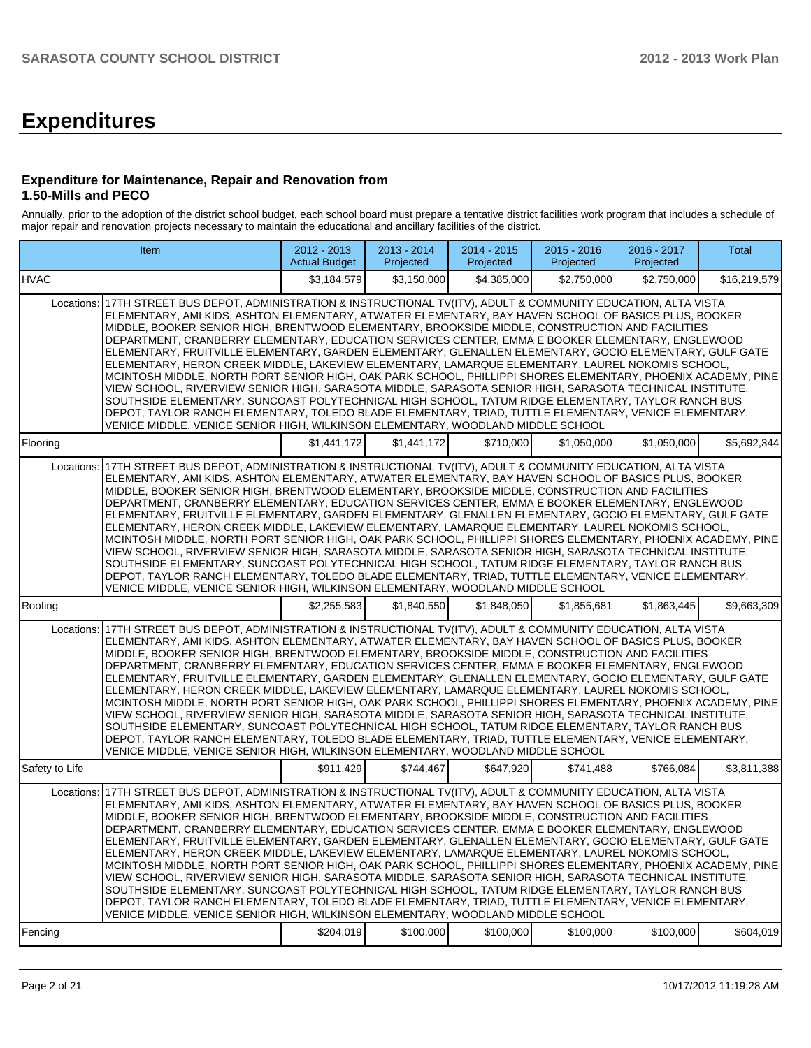# **Expenditures**

#### **Expenditure for Maintenance, Repair and Renovation from 1.50-Mills and PECO**

Annually, prior to the adoption of the district school budget, each school board must prepare a tentative district facilities work program that includes a schedule of major repair and renovation projects necessary to maintain the educational and ancillary facilities of the district.

|                | Item                                                                                                                                                                                                                                                                                                                                                                                                                                                                                                                                                                                                                                                                                                                                                                                                                                                                                                                                                                                                                                                                                                                                                                          | 2012 - 2013<br><b>Actual Budget</b> | 2013 - 2014<br>Projected | 2014 - 2015<br>Projected | 2015 - 2016<br>Projected | 2016 - 2017<br>Projected | Total        |
|----------------|-------------------------------------------------------------------------------------------------------------------------------------------------------------------------------------------------------------------------------------------------------------------------------------------------------------------------------------------------------------------------------------------------------------------------------------------------------------------------------------------------------------------------------------------------------------------------------------------------------------------------------------------------------------------------------------------------------------------------------------------------------------------------------------------------------------------------------------------------------------------------------------------------------------------------------------------------------------------------------------------------------------------------------------------------------------------------------------------------------------------------------------------------------------------------------|-------------------------------------|--------------------------|--------------------------|--------------------------|--------------------------|--------------|
| <b>IHVAC</b>   |                                                                                                                                                                                                                                                                                                                                                                                                                                                                                                                                                                                                                                                                                                                                                                                                                                                                                                                                                                                                                                                                                                                                                                               | \$3,184,579                         | \$3,150,000              | \$4,385,000              | \$2,750,000              | \$2,750,000              | \$16,219,579 |
|                | Locations: 17TH STREET BUS DEPOT, ADMINISTRATION & INSTRUCTIONAL TV(ITV), ADULT & COMMUNITY EDUCATION, ALTA VISTA<br>ELEMENTARY, AMI KIDS, ASHTON ELEMENTARY, ATWATER ELEMENTARY, BAY HAVEN SCHOOL OF BASICS PLUS, BOOKER<br>MIDDLE, BOOKER SENIOR HIGH, BRENTWOOD ELEMENTARY, BROOKSIDE MIDDLE, CONSTRUCTION AND FACILITIES<br>DEPARTMENT, CRANBERRY ELEMENTARY, EDUCATION SERVICES CENTER, EMMA E BOOKER ELEMENTARY, ENGLEWOOD<br>ELEMENTARY, FRUITVILLE ELEMENTARY, GARDEN ELEMENTARY, GLENALLEN ELEMENTARY, GOCIO ELEMENTARY, GULF GATE<br>ELEMENTARY, HERON CREEK MIDDLE, LAKEVIEW ELEMENTARY, LAMARQUE ELEMENTARY, LAUREL NOKOMIS SCHOOL,<br>MCINTOSH MIDDLE, NORTH PORT SENIOR HIGH, OAK PARK SCHOOL, PHILLIPPI SHORES ELEMENTARY, PHOENIX ACADEMY, PINE<br>VIEW SCHOOL, RIVERVIEW SENIOR HIGH, SARASOTA MIDDLE, SARASOTA SENIOR HIGH, SARASOTA TECHNICAL INSTITUTE,<br>SOUTHSIDE ELEMENTARY, SUNCOAST POLYTECHNICAL HIGH SCHOOL, TATUM RIDGE ELEMENTARY, TAYLOR RANCH BUS<br>DEPOT, TAYLOR RANCH ELEMENTARY, TOLEDO BLADE ELEMENTARY, TRIAD, TUTTLE ELEMENTARY, VENICE ELEMENTARY,<br>VENICE MIDDLE, VENICE SENIOR HIGH, WILKINSON ELEMENTARY, WOODLAND MIDDLE SCHOOL |                                     |                          |                          |                          |                          |              |
| Flooring       |                                                                                                                                                                                                                                                                                                                                                                                                                                                                                                                                                                                                                                                                                                                                                                                                                                                                                                                                                                                                                                                                                                                                                                               | \$1,441,172                         | \$1,441,172              | \$710,000                | \$1,050,000              | \$1,050,000              | \$5,692,344  |
|                | Locations: 17TH STREET BUS DEPOT, ADMINISTRATION & INSTRUCTIONAL TV(ITV), ADULT & COMMUNITY EDUCATION, ALTA VISTA<br>ELEMENTARY, AMI KIDS, ASHTON ELEMENTARY, ATWATER ELEMENTARY, BAY HAVEN SCHOOL OF BASICS PLUS, BOOKER<br>MIDDLE, BOOKER SENIOR HIGH, BRENTWOOD ELEMENTARY, BROOKSIDE MIDDLE, CONSTRUCTION AND FACILITIES<br>DEPARTMENT, CRANBERRY ELEMENTARY, EDUCATION SERVICES CENTER, EMMA E BOOKER ELEMENTARY, ENGLEWOOD<br>ELEMENTARY, FRUITVILLE ELEMENTARY, GARDEN ELEMENTARY, GLENALLEN ELEMENTARY, GOCIO ELEMENTARY, GULF GATE<br>ELEMENTARY, HERON CREEK MIDDLE, LAKEVIEW ELEMENTARY, LAMARQUE ELEMENTARY, LAUREL NOKOMIS SCHOOL,<br>MCINTOSH MIDDLE, NORTH PORT SENIOR HIGH, OAK PARK SCHOOL, PHILLIPPI SHORES ELEMENTARY, PHOENIX ACADEMY, PINE<br>VIEW SCHOOL, RIVERVIEW SENIOR HIGH, SARASOTA MIDDLE, SARASOTA SENIOR HIGH, SARASOTA TECHNICAL INSTITUTE,<br>SOUTHSIDE ELEMENTARY, SUNCOAST POLYTECHNICAL HIGH SCHOOL, TATUM RIDGE ELEMENTARY, TAYLOR RANCH BUS<br>DEPOT, TAYLOR RANCH ELEMENTARY, TOLEDO BLADE ELEMENTARY, TRIAD, TUTTLE ELEMENTARY, VENICE ELEMENTARY,<br>VENICE MIDDLE, VENICE SENIOR HIGH, WILKINSON ELEMENTARY, WOODLAND MIDDLE SCHOOL |                                     |                          |                          |                          |                          |              |
| Roofing        |                                                                                                                                                                                                                                                                                                                                                                                                                                                                                                                                                                                                                                                                                                                                                                                                                                                                                                                                                                                                                                                                                                                                                                               | \$2,255,583                         | \$1,840,550              | \$1,848,050              | \$1,855,681              | \$1,863,445              | \$9,663,309  |
|                | Locations: 17TH STREET BUS DEPOT. ADMINISTRATION & INSTRUCTIONAL TV(ITV). ADULT & COMMUNITY EDUCATION. ALTA VISTA<br>ELEMENTARY, AMI KIDS, ASHTON ELEMENTARY, ATWATER ELEMENTARY, BAY HAVEN SCHOOL OF BASICS PLUS, BOOKER<br>MIDDLE, BOOKER SENIOR HIGH, BRENTWOOD ELEMENTARY, BROOKSIDE MIDDLE, CONSTRUCTION AND FACILITIES<br>DEPARTMENT, CRANBERRY ELEMENTARY, EDUCATION SERVICES CENTER, EMMA E BOOKER ELEMENTARY, ENGLEWOOD<br>ELEMENTARY, FRUITVILLE ELEMENTARY, GARDEN ELEMENTARY, GLENALLEN ELEMENTARY, GOCIO ELEMENTARY, GULF GATE<br>ELEMENTARY, HERON CREEK MIDDLE, LAKEVIEW ELEMENTARY, LAMARQUE ELEMENTARY, LAUREL NOKOMIS SCHOOL,<br>MCINTOSH MIDDLE, NORTH PORT SENIOR HIGH, OAK PARK SCHOOL, PHILLIPPI SHORES ELEMENTARY, PHOENIX ACADEMY, PINE<br>VIEW SCHOOL, RIVERVIEW SENIOR HIGH, SARASOTA MIDDLE, SARASOTA SENIOR HIGH, SARASOTA TECHNICAL INSTITUTE,<br>SOUTHSIDE ELEMENTARY, SUNCOAST POLYTECHNICAL HIGH SCHOOL, TATUM RIDGE ELEMENTARY, TAYLOR RANCH BUS<br>DEPOT, TAYLOR RANCH ELEMENTARY, TOLEDO BLADE ELEMENTARY, TRIAD, TUTTLE ELEMENTARY, VENICE ELEMENTARY,<br>VENICE MIDDLE, VENICE SENIOR HIGH, WILKINSON ELEMENTARY, WOODLAND MIDDLE SCHOOL |                                     |                          |                          |                          |                          |              |
| Safety to Life |                                                                                                                                                                                                                                                                                                                                                                                                                                                                                                                                                                                                                                                                                                                                                                                                                                                                                                                                                                                                                                                                                                                                                                               | \$911,429                           | \$744,467                | \$647,920                | \$741,488                | \$766.084                | \$3,811,388  |
| Locations:     | 17TH STREET BUS DEPOT, ADMINISTRATION & INSTRUCTIONAL TV(ITV), ADULT & COMMUNITY EDUCATION, ALTA VISTA<br>ELEMENTARY, AMI KIDS, ASHTON ELEMENTARY, ATWATER ELEMENTARY, BAY HAVEN SCHOOL OF BASICS PLUS, BOOKER<br>MIDDLE, BOOKER SENIOR HIGH, BRENTWOOD ELEMENTARY, BROOKSIDE MIDDLE, CONSTRUCTION AND FACILITIES<br>DEPARTMENT, CRANBERRY ELEMENTARY, EDUCATION SERVICES CENTER, EMMA E BOOKER ELEMENTARY, ENGLEWOOD<br>ELEMENTARY, FRUITVILLE ELEMENTARY, GARDEN ELEMENTARY, GLENALLEN ELEMENTARY, GOCIO ELEMENTARY, GULF GATE<br>ELEMENTARY, HERON CREEK MIDDLE, LAKEVIEW ELEMENTARY, LAMARQUE ELEMENTARY, LAUREL NOKOMIS SCHOOL,<br>MCINTOSH MIDDLE, NORTH PORT SENIOR HIGH, OAK PARK SCHOOL, PHILLIPPI SHORES ELEMENTARY, PHOENIX ACADEMY, PINE<br>VIEW SCHOOL, RIVERVIEW SENIOR HIGH, SARASOTA MIDDLE, SARASOTA SENIOR HIGH, SARASOTA TECHNICAL INSTITUTE,<br>SOUTHSIDE ELEMENTARY, SUNCOAST POLYTECHNICAL HIGH SCHOOL, TATUM RIDGE ELEMENTARY, TAYLOR RANCH BUS<br>DEPOT, TAYLOR RANCH ELEMENTARY, TOLEDO BLADE ELEMENTARY, TRIAD, TUTTLE ELEMENTARY, VENICE ELEMENTARY,<br>VENICE MIDDLE, VENICE SENIOR HIGH, WILKINSON ELEMENTARY, WOODLAND MIDDLE SCHOOL            |                                     |                          |                          |                          |                          |              |
| Fencing        |                                                                                                                                                                                                                                                                                                                                                                                                                                                                                                                                                                                                                                                                                                                                                                                                                                                                                                                                                                                                                                                                                                                                                                               | \$204,019                           | \$100,000                | \$100,000                | \$100,000                | \$100,000                | \$604,019    |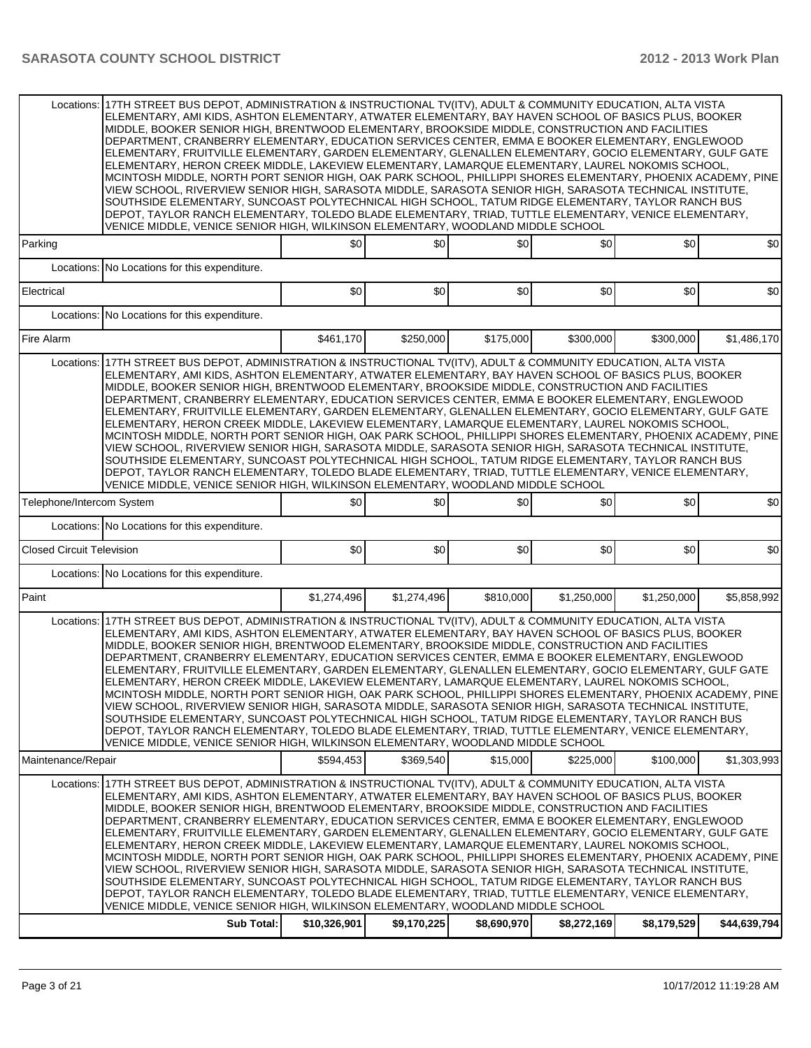|                                  | Locations: 17TH STREET BUS DEPOT, ADMINISTRATION & INSTRUCTIONAL TV(ITV), ADULT & COMMUNITY EDUCATION, ALTA VISTA<br>ELEMENTARY, AMI KIDS, ASHTON ELEMENTARY, ATWATER ELEMENTARY, BAY HAVEN SCHOOL OF BASICS PLUS, BOOKER<br>MIDDLE, BOOKER SENIOR HIGH, BRENTWOOD ELEMENTARY, BROOKSIDE MIDDLE, CONSTRUCTION AND FACILITIES<br>DEPARTMENT, CRANBERRY ELEMENTARY, EDUCATION SERVICES CENTER, EMMA E BOOKER ELEMENTARY, ENGLEWOOD<br>ELEMENTARY, FRUITVILLE ELEMENTARY, GARDEN ELEMENTARY, GLENALLEN ELEMENTARY, GOCIO ELEMENTARY, GULF GATE<br>ELEMENTARY, HERON CREEK MIDDLE, LAKEVIEW ELEMENTARY, LAMARQUE ELEMENTARY, LAUREL NOKOMIS SCHOOL,<br>MCINTOSH MIDDLE, NORTH PORT SENIOR HIGH, OAK PARK SCHOOL, PHILLIPPI SHORES ELEMENTARY, PHOENIX ACADEMY, PINE<br>VIEW SCHOOL, RIVERVIEW SENIOR HIGH, SARASOTA MIDDLE, SARASOTA SENIOR HIGH, SARASOTA TECHNICAL INSTITUTE,<br>SOUTHSIDE ELEMENTARY, SUNCOAST POLYTECHNICAL HIGH SCHOOL, TATUM RIDGE ELEMENTARY, TAYLOR RANCH BUS<br>DEPOT, TAYLOR RANCH ELEMENTARY, TOLEDO BLADE ELEMENTARY, TRIAD, TUTTLE ELEMENTARY, VENICE ELEMENTARY,<br>VENICE MIDDLE, VENICE SENIOR HIGH, WILKINSON ELEMENTARY, WOODLAND MIDDLE SCHOOL |              |             |             |             |             |              |
|----------------------------------|-------------------------------------------------------------------------------------------------------------------------------------------------------------------------------------------------------------------------------------------------------------------------------------------------------------------------------------------------------------------------------------------------------------------------------------------------------------------------------------------------------------------------------------------------------------------------------------------------------------------------------------------------------------------------------------------------------------------------------------------------------------------------------------------------------------------------------------------------------------------------------------------------------------------------------------------------------------------------------------------------------------------------------------------------------------------------------------------------------------------------------------------------------------------------------|--------------|-------------|-------------|-------------|-------------|--------------|
| Parking                          |                                                                                                                                                                                                                                                                                                                                                                                                                                                                                                                                                                                                                                                                                                                                                                                                                                                                                                                                                                                                                                                                                                                                                                               | \$0          | \$0         | \$0         | \$0         | \$0         | \$0          |
|                                  | Locations: No Locations for this expenditure.                                                                                                                                                                                                                                                                                                                                                                                                                                                                                                                                                                                                                                                                                                                                                                                                                                                                                                                                                                                                                                                                                                                                 |              |             |             |             |             |              |
| Electrical                       |                                                                                                                                                                                                                                                                                                                                                                                                                                                                                                                                                                                                                                                                                                                                                                                                                                                                                                                                                                                                                                                                                                                                                                               | \$0          | \$0         | \$0         | \$0         | \$0         | \$0          |
|                                  | Locations: No Locations for this expenditure.                                                                                                                                                                                                                                                                                                                                                                                                                                                                                                                                                                                                                                                                                                                                                                                                                                                                                                                                                                                                                                                                                                                                 |              |             |             |             |             |              |
| Fire Alarm                       |                                                                                                                                                                                                                                                                                                                                                                                                                                                                                                                                                                                                                                                                                                                                                                                                                                                                                                                                                                                                                                                                                                                                                                               | \$461,170    | \$250,000   | \$175,000   | \$300,000   | \$300,000   | \$1,486,170  |
| Locations:                       | 17TH STREET BUS DEPOT, ADMINISTRATION & INSTRUCTIONAL TV(ITV), ADULT & COMMUNITY EDUCATION, ALTA VISTA<br>ELEMENTARY, AMI KIDS, ASHTON ELEMENTARY, ATWATER ELEMENTARY, BAY HAVEN SCHOOL OF BASICS PLUS, BOOKER<br>MIDDLE, BOOKER SENIOR HIGH, BRENTWOOD ELEMENTARY, BROOKSIDE MIDDLE, CONSTRUCTION AND FACILITIES<br>DEPARTMENT, CRANBERRY ELEMENTARY, EDUCATION SERVICES CENTER, EMMA E BOOKER ELEMENTARY, ENGLEWOOD<br>ELEMENTARY, FRUITVILLE ELEMENTARY, GARDEN ELEMENTARY, GLENALLEN ELEMENTARY, GOCIO ELEMENTARY, GULF GATE<br>ELEMENTARY, HERON CREEK MIDDLE, LAKEVIEW ELEMENTARY, LAMARQUE ELEMENTARY, LAUREL NOKOMIS SCHOOL,<br>MCINTOSH MIDDLE, NORTH PORT SENIOR HIGH, OAK PARK SCHOOL, PHILLIPPI SHORES ELEMENTARY, PHOENIX ACADEMY, PINE<br>VIEW SCHOOL, RIVERVIEW SENIOR HIGH, SARASOTA MIDDLE, SARASOTA SENIOR HIGH, SARASOTA TECHNICAL INSTITUTE,<br>SOUTHSIDE ELEMENTARY, SUNCOAST POLYTECHNICAL HIGH SCHOOL, TATUM RIDGE ELEMENTARY, TAYLOR RANCH BUS<br>DEPOT, TAYLOR RANCH ELEMENTARY, TOLEDO BLADE ELEMENTARY, TRIAD, TUTTLE ELEMENTARY, VENICE ELEMENTARY,<br>VENICE MIDDLE, VENICE SENIOR HIGH, WILKINSON ELEMENTARY, WOODLAND MIDDLE SCHOOL            |              |             |             |             |             |              |
| Telephone/Intercom System        |                                                                                                                                                                                                                                                                                                                                                                                                                                                                                                                                                                                                                                                                                                                                                                                                                                                                                                                                                                                                                                                                                                                                                                               | \$0          | \$0         | \$0         | \$0         | \$0         | \$0          |
|                                  | Locations: No Locations for this expenditure.                                                                                                                                                                                                                                                                                                                                                                                                                                                                                                                                                                                                                                                                                                                                                                                                                                                                                                                                                                                                                                                                                                                                 |              |             |             |             |             |              |
| <b>Closed Circuit Television</b> |                                                                                                                                                                                                                                                                                                                                                                                                                                                                                                                                                                                                                                                                                                                                                                                                                                                                                                                                                                                                                                                                                                                                                                               | \$0          | \$0         | \$0         | \$0         | \$0         | \$0          |
|                                  | Locations: No Locations for this expenditure.                                                                                                                                                                                                                                                                                                                                                                                                                                                                                                                                                                                                                                                                                                                                                                                                                                                                                                                                                                                                                                                                                                                                 |              |             |             |             |             |              |
| Paint                            |                                                                                                                                                                                                                                                                                                                                                                                                                                                                                                                                                                                                                                                                                                                                                                                                                                                                                                                                                                                                                                                                                                                                                                               | \$1,274,496  | \$1,274,496 | \$810,000   | \$1,250,000 | \$1,250,000 | \$5,858,992  |
|                                  | Locations: 17TH STREET BUS DEPOT, ADMINISTRATION & INSTRUCTIONAL TV(ITV), ADULT & COMMUNITY EDUCATION, ALTA VISTA<br>ELEMENTARY, AMI KIDS, ASHTON ELEMENTARY, ATWATER ELEMENTARY, BAY HAVEN SCHOOL OF BASICS PLUS, BOOKER<br>MIDDLE, BOOKER SENIOR HIGH, BRENTWOOD ELEMENTARY, BROOKSIDE MIDDLE, CONSTRUCTION AND FACILITIES<br>DEPARTMENT, CRANBERRY ELEMENTARY, EDUCATION SERVICES CENTER, EMMA E BOOKER ELEMENTARY, ENGLEWOOD<br>ELEMENTARY, FRUITVILLE ELEMENTARY, GARDEN ELEMENTARY, GLENALLEN ELEMENTARY, GOCIO ELEMENTARY, GULF GATE<br>ELEMENTARY, HERON CREEK MIDDLE, LAKEVIEW ELEMENTARY, LAMARQUE ELEMENTARY, LAUREL NOKOMIS SCHOOL,<br>MCINTOSH MIDDLE, NORTH PORT SENIOR HIGH, OAK PARK SCHOOL, PHILLIPPI SHORES ELEMENTARY, PHOENIX ACADEMY, PINE<br>VIEW SCHOOL, RIVERVIEW SENIOR HIGH, SARASOTA MIDDLE, SARASOTA SENIOR HIGH, SARASOTA TECHNICAL INSTITUTE,<br>SOUTHSIDE ELEMENTARY, SUNCOAST POLYTECHNICAL HIGH SCHOOL, TATUM RIDGE ELEMENTARY, TAYLOR RANCH BUS<br>DEPOT, TAYLOR RANCH ELEMENTARY, TOLEDO BLADE ELEMENTARY, TRIAD, TUTTLE ELEMENTARY, VENICE ELEMENTARY,<br>VENICE MIDDLE, VENICE SENIOR HIGH, WILKINSON ELEMENTARY, WOODLAND MIDDLE SCHOOL |              |             |             |             |             |              |
| Maintenance/Repair               |                                                                                                                                                                                                                                                                                                                                                                                                                                                                                                                                                                                                                                                                                                                                                                                                                                                                                                                                                                                                                                                                                                                                                                               | \$594,453    | \$369,540   | \$15,000    | \$225,000   | \$100,000   | \$1,303,993  |
| Locations:                       | 17TH STREET BUS DEPOT, ADMINISTRATION & INSTRUCTIONAL TV(ITV), ADULT & COMMUNITY EDUCATION, ALTA VISTA<br>ELEMENTARY, AMI KIDS, ASHTON ELEMENTARY, ATWATER ELEMENTARY, BAY HAVEN SCHOOL OF BASICS PLUS, BOOKER<br>MIDDLE, BOOKER SENIOR HIGH, BRENTWOOD ELEMENTARY, BROOKSIDE MIDDLE, CONSTRUCTION AND FACILITIES<br>DEPARTMENT, CRANBERRY ELEMENTARY, EDUCATION SERVICES CENTER, EMMA E BOOKER ELEMENTARY, ENGLEWOOD<br>ELEMENTARY, FRUITVILLE ELEMENTARY, GARDEN ELEMENTARY, GLENALLEN ELEMENTARY, GOCIO ELEMENTARY, GULF GATE<br>ELEMENTARY, HERON CREEK MIDDLE, LAKEVIEW ELEMENTARY, LAMARQUE ELEMENTARY, LAUREL NOKOMIS SCHOOL,<br>MCINTOSH MIDDLE, NORTH PORT SENIOR HIGH, OAK PARK SCHOOL, PHILLIPPI SHORES ELEMENTARY, PHOENIX ACADEMY, PINE<br>VIEW SCHOOL, RIVERVIEW SENIOR HIGH, SARASOTA MIDDLE, SARASOTA SENIOR HIGH, SARASOTA TECHNICAL INSTITUTE,<br>SOUTHSIDE ELEMENTARY, SUNCOAST POLYTECHNICAL HIGH SCHOOL, TATUM RIDGE ELEMENTARY, TAYLOR RANCH BUS<br>DEPOT, TAYLOR RANCH ELEMENTARY, TOLEDO BLADE ELEMENTARY, TRIAD, TUTTLE ELEMENTARY, VENICE ELEMENTARY,<br>VENICE MIDDLE, VENICE SENIOR HIGH, WILKINSON ELEMENTARY, WOODLAND MIDDLE SCHOOL            |              |             |             |             |             |              |
|                                  | Sub Total:                                                                                                                                                                                                                                                                                                                                                                                                                                                                                                                                                                                                                                                                                                                                                                                                                                                                                                                                                                                                                                                                                                                                                                    | \$10,326,901 | \$9,170,225 | \$8,690,970 | \$8,272,169 | \$8,179,529 | \$44,639,794 |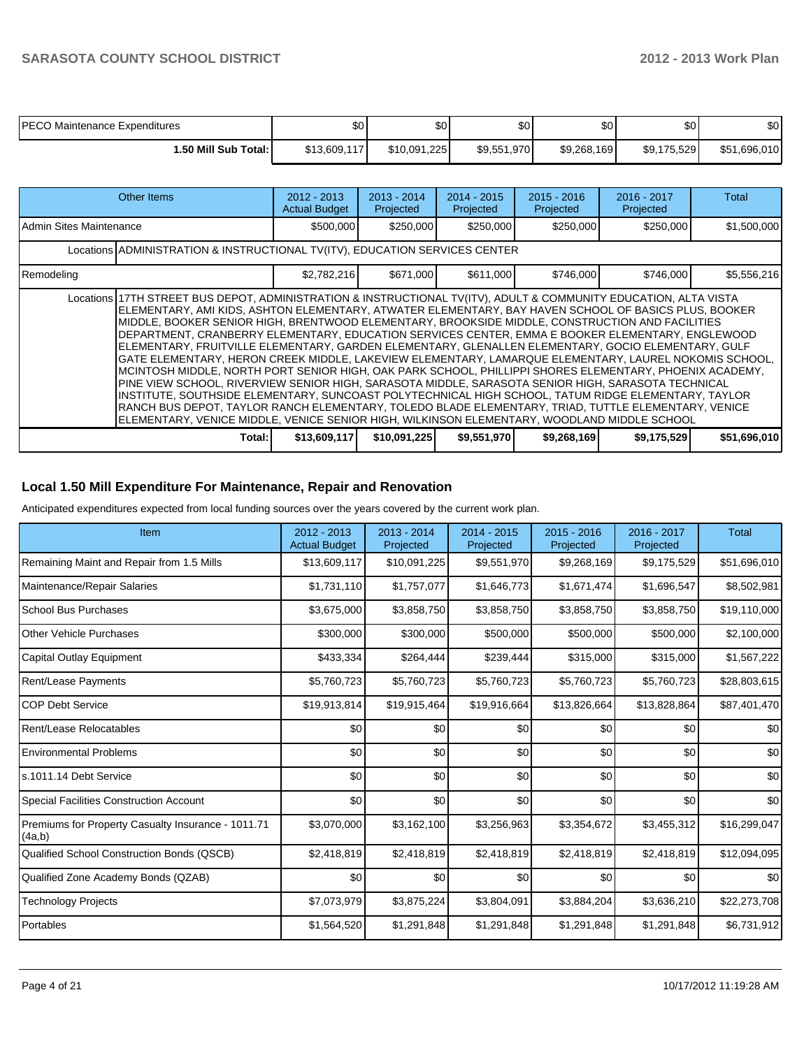| <b>PECO Maintenance Expenditures</b> | \$0          | \$0 <sub>1</sub> | \$0         | \$0 <sub>0</sub> | ሶስ<br>υU    | \$0          |
|--------------------------------------|--------------|------------------|-------------|------------------|-------------|--------------|
| 1.50 Mill Sub Total: I               | \$13,609,117 | \$10,091,225     | \$9,551,970 | \$9,268,169      | \$9,175,529 | \$51,696,010 |

| Other Items                                                                                                                                                                                                                                                                                                                                                                                                                                                                                                                                                                                                                                                                                                                                                                                                                                                                                                                                                                                                                                                                                                                                                                  | $2012 - 2013$<br><b>Actual Budget</b> | $2013 - 2014$<br>Projected | $2014 - 2015$<br>Projected | $2015 - 2016$<br>Projected | 2016 - 2017<br>Projected | Total        |
|------------------------------------------------------------------------------------------------------------------------------------------------------------------------------------------------------------------------------------------------------------------------------------------------------------------------------------------------------------------------------------------------------------------------------------------------------------------------------------------------------------------------------------------------------------------------------------------------------------------------------------------------------------------------------------------------------------------------------------------------------------------------------------------------------------------------------------------------------------------------------------------------------------------------------------------------------------------------------------------------------------------------------------------------------------------------------------------------------------------------------------------------------------------------------|---------------------------------------|----------------------------|----------------------------|----------------------------|--------------------------|--------------|
| Admin Sites Maintenance                                                                                                                                                                                                                                                                                                                                                                                                                                                                                                                                                                                                                                                                                                                                                                                                                                                                                                                                                                                                                                                                                                                                                      | \$500,000                             | \$250,000                  | \$250,000                  | \$250,000                  | \$250,000                | \$1,500,000  |
| Locations ADMINISTRATION & INSTRUCTIONAL TV(ITV), EDUCATION SERVICES CENTER                                                                                                                                                                                                                                                                                                                                                                                                                                                                                                                                                                                                                                                                                                                                                                                                                                                                                                                                                                                                                                                                                                  |                                       |                            |                            |                            |                          |              |
| Remodeling                                                                                                                                                                                                                                                                                                                                                                                                                                                                                                                                                                                                                                                                                                                                                                                                                                                                                                                                                                                                                                                                                                                                                                   | \$2,782,216                           | \$671,000                  | \$611.000                  | \$746,000                  | \$746.000                | \$5,556,216  |
| Locations 17TH STREET BUS DEPOT, ADMINISTRATION & INSTRUCTIONAL TV(ITV), ADULT & COMMUNITY EDUCATION, ALTA VISTA<br>ELEMENTARY, AMI KIDS, ASHTON ELEMENTARY, ATWATER ELEMENTARY, BAY HAVEN SCHOOL OF BASICS PLUS, BOOKER<br>MIDDLE. BOOKER SENIOR HIGH. BRENTWOOD ELEMENTARY. BROOKSIDE MIDDLE. CONSTRUCTION AND FACILITIES<br>DEPARTMENT, CRANBERRY ELEMENTARY, EDUCATION SERVICES CENTER, EMMA E BOOKER ELEMENTARY, ENGLEWOOD<br>ELEMENTARY, FRUITVILLE ELEMENTARY, GARDEN ELEMENTARY, GLENALLEN ELEMENTARY, GOCIO ELEMENTARY, GULF<br>GATE ELEMENTARY, HERON CREEK MIDDLE, LAKEVIEW ELEMENTARY, LAMARQUE ELEMENTARY, LAUREL NOKOMIS SCHOOL,<br>MCINTOSH MIDDLE, NORTH PORT SENIOR HIGH, OAK PARK SCHOOL, PHILLIPPI SHORES ELEMENTARY, PHOENIX ACADEMY,<br>PINE VIEW SCHOOL, RIVERVIEW SENIOR HIGH, SARASOTA MIDDLE, SARASOTA SENIOR HIGH, SARASOTA TECHNICAL<br>INSTITUTE, SOUTHSIDE ELEMENTARY, SUNCOAST POLYTECHNICAL HIGH SCHOOL, TATUM RIDGE ELEMENTARY, TAYLOR<br>RANCH BUS DEPOT. TAYLOR RANCH ELEMENTARY. TOLEDO BLADE ELEMENTARY. TRIAD. TUTTLE ELEMENTARY. VENICE<br>ELEMENTARY, VENICE MIDDLE, VENICE SENIOR HIGH, WILKINSON ELEMENTARY, WOODLAND MIDDLE SCHOOL |                                       |                            |                            |                            |                          |              |
| Total:                                                                                                                                                                                                                                                                                                                                                                                                                                                                                                                                                                                                                                                                                                                                                                                                                                                                                                                                                                                                                                                                                                                                                                       | \$13,609,117                          | \$10,091,225               | \$9,551,970                | \$9,268,169                | \$9,175,529              | \$51,696,010 |

## **Local 1.50 Mill Expenditure For Maintenance, Repair and Renovation**

Anticipated expenditures expected from local funding sources over the years covered by the current work plan.

| Item                                                         | 2012 - 2013<br><b>Actual Budget</b> | $2013 - 2014$<br>Projected | $2014 - 2015$<br>Projected | $2015 - 2016$<br>Projected | 2016 - 2017<br>Projected | <b>Total</b> |
|--------------------------------------------------------------|-------------------------------------|----------------------------|----------------------------|----------------------------|--------------------------|--------------|
| Remaining Maint and Repair from 1.5 Mills                    | \$13,609,117                        | \$10,091,225               | \$9,551,970                | \$9,268,169                | \$9,175,529              | \$51,696,010 |
| Maintenance/Repair Salaries                                  | \$1,731,110                         | \$1,757,077                | \$1,646,773                | \$1,671,474                | \$1,696,547              | \$8,502,981  |
| <b>School Bus Purchases</b>                                  | \$3,675,000                         | \$3,858,750                | \$3,858,750                | \$3,858,750                | \$3,858,750              | \$19,110,000 |
| Other Vehicle Purchases                                      | \$300,000                           | \$300,000                  | \$500,000                  | \$500,000                  | \$500,000                | \$2,100,000  |
| Capital Outlay Equipment                                     | \$433,334                           | \$264,444                  | \$239,444                  | \$315,000                  | \$315,000                | \$1,567,222  |
| <b>Rent/Lease Payments</b>                                   | \$5,760,723                         | \$5,760,723                | \$5,760,723                | \$5,760,723                | \$5,760,723              | \$28,803,615 |
| <b>COP Debt Service</b>                                      | \$19,913,814                        | \$19,915,464               | \$19,916,664               | \$13,826,664               | \$13,828,864             | \$87,401,470 |
| Rent/Lease Relocatables                                      | \$0                                 | \$0                        | \$0                        | \$0                        | \$0                      | \$0          |
| <b>Environmental Problems</b>                                | \$0                                 | \$0                        | \$0                        | \$0                        | \$0                      | \$0          |
| ls.1011.14 Debt Service                                      | \$0                                 | \$0                        | \$0                        | \$0                        | \$0                      | \$0          |
| <b>Special Facilities Construction Account</b>               | \$0                                 | \$0                        | \$0                        | \$0                        | \$0                      | \$0          |
| Premiums for Property Casualty Insurance - 1011.71<br>(4a,b) | \$3,070,000                         | \$3,162,100                | \$3,256,963                | \$3,354,672                | \$3,455,312              | \$16,299,047 |
| Qualified School Construction Bonds (QSCB)                   | \$2,418,819                         | \$2,418,819                | \$2,418,819                | \$2,418,819                | \$2,418,819              | \$12,094,095 |
| Qualified Zone Academy Bonds (QZAB)                          | \$0                                 | \$0                        | \$0                        | \$0                        | \$0                      | \$0          |
| Technology Projects                                          | \$7,073,979                         | \$3,875,224                | \$3,804,091                | \$3,884,204                | \$3,636,210              | \$22,273,708 |
| Portables                                                    | \$1,564,520                         | \$1,291,848                | \$1,291,848                | \$1,291,848                | \$1,291,848              | \$6,731,912  |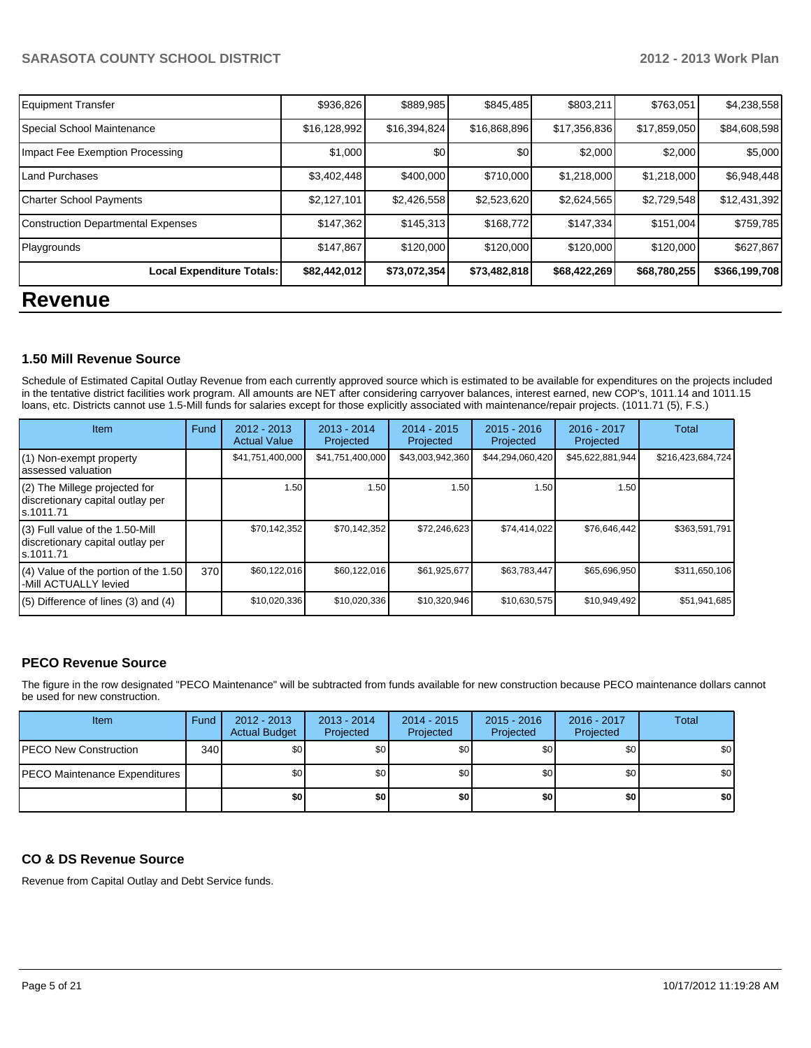| <b>Equipment Transfer</b>                 | \$936,826    | \$889,985    | \$845,485    | \$803,211    | \$763,051    | \$4,238,558   |  |  |
|-------------------------------------------|--------------|--------------|--------------|--------------|--------------|---------------|--|--|
| Special School Maintenance                | \$16,128,992 | \$16,394,824 | \$16,868,896 | \$17,356,836 | \$17,859,050 | \$84,608,598  |  |  |
| Impact Fee Exemption Processing           | \$1,000      | \$0          | \$0          | \$2,000      | \$2,000      | \$5,000       |  |  |
| <b>Land Purchases</b>                     | \$3,402,448  | \$400,000    | \$710,000    | \$1,218,000  | \$1,218,000  | \$6,948,448   |  |  |
| <b>Charter School Payments</b>            | \$2,127,101  | \$2,426,558  | \$2,523,620  | \$2,624,565  | \$2,729,548  | \$12,431,392  |  |  |
| <b>Construction Departmental Expenses</b> | \$147,362    | \$145,313    | \$168,772    | \$147,334    | \$151,004    | \$759,785     |  |  |
| Playgrounds                               | \$147,867    | \$120,000    | \$120,000    | \$120,000    | \$120,000    | \$627,867     |  |  |
| Local Expenditure Totals:                 | \$82,442,012 | \$73,072,354 | \$73,482,818 | \$68,422,269 | \$68,780,255 | \$366,199,708 |  |  |
| <b>Revenue</b>                            |              |              |              |              |              |               |  |  |

## **1.50 Mill Revenue Source**

Schedule of Estimated Capital Outlay Revenue from each currently approved source which is estimated to be available for expenditures on the projects included In the tentative district facilities work program. All amounts are NET after considering carryover balances, interest earned, new COP's, 1011.14 and 1011.15 loans, etc. Districts cannot use 1.5-Mill funds for salaries except for those explicitly associated with maintenance/repair projects. (1011.71 (5), F.S.)

| Item                                                                             | Fund | $2012 - 2013$<br><b>Actual Value</b> | $2013 - 2014$<br>Projected | $2014 - 2015$<br>Projected | $2015 - 2016$<br>Projected | 2016 - 2017<br>Projected | Total             |
|----------------------------------------------------------------------------------|------|--------------------------------------|----------------------------|----------------------------|----------------------------|--------------------------|-------------------|
| (1) Non-exempt property<br>assessed valuation                                    |      | \$41,751,400,000                     | \$41,751,400,000           | \$43,003,942,360           | \$44,294,060,420           | \$45,622,881,944         | \$216,423,684,724 |
| (2) The Millege projected for<br>discretionary capital outlay per<br>ls.1011.71  |      | 1.50                                 | 1.50                       | 1.50                       | 1.50                       | 1.50                     |                   |
| (3) Full value of the 1.50-Mill<br>discretionary capital outlay per<br>s.1011.71 |      | \$70.142.352                         | \$70,142,352               | \$72,246,623               | \$74,414,022               | \$76,646,442             | \$363,591,791     |
| (4) Value of the portion of the 1.50<br>-Mill ACTUALLY levied                    | 370  | \$60,122,016                         | \$60,122,016               | \$61,925,677               | \$63,783,447               | \$65,696,950             | \$311,650,106     |
| $(5)$ Difference of lines $(3)$ and $(4)$                                        |      | \$10,020,336                         | \$10,020,336               | \$10,320,946               | \$10,630,575               | \$10,949,492             | \$51,941,685      |

# **PECO Revenue Source**

The figure in the row designated "PECO Maintenance" will be subtracted from funds available for new construction because PECO maintenance dollars cannot be used for new construction.

| <b>Item</b>                           | Fund | $2012 - 2013$<br><b>Actual Budget</b> | $2013 - 2014$<br>Projected | $2014 - 2015$<br>Projected | $2015 - 2016$<br>Projected | 2016 - 2017<br>Projected | <b>Total</b> |
|---------------------------------------|------|---------------------------------------|----------------------------|----------------------------|----------------------------|--------------------------|--------------|
| <b>IPECO New Construction</b>         | 340  | \$O I                                 | \$0                        | \$0                        | \$0 <sub>0</sub>           | \$0                      | \$0          |
| <b>IPECO Maintenance Expenditures</b> |      | \$O I                                 | \$0                        | \$0                        | \$0 <sub>0</sub>           | \$0                      | \$0          |
|                                       |      | \$0 I                                 | \$0                        | \$0                        | \$0                        | \$0                      | \$0          |

# **CO & DS Revenue Source**

Revenue from Capital Outlay and Debt Service funds.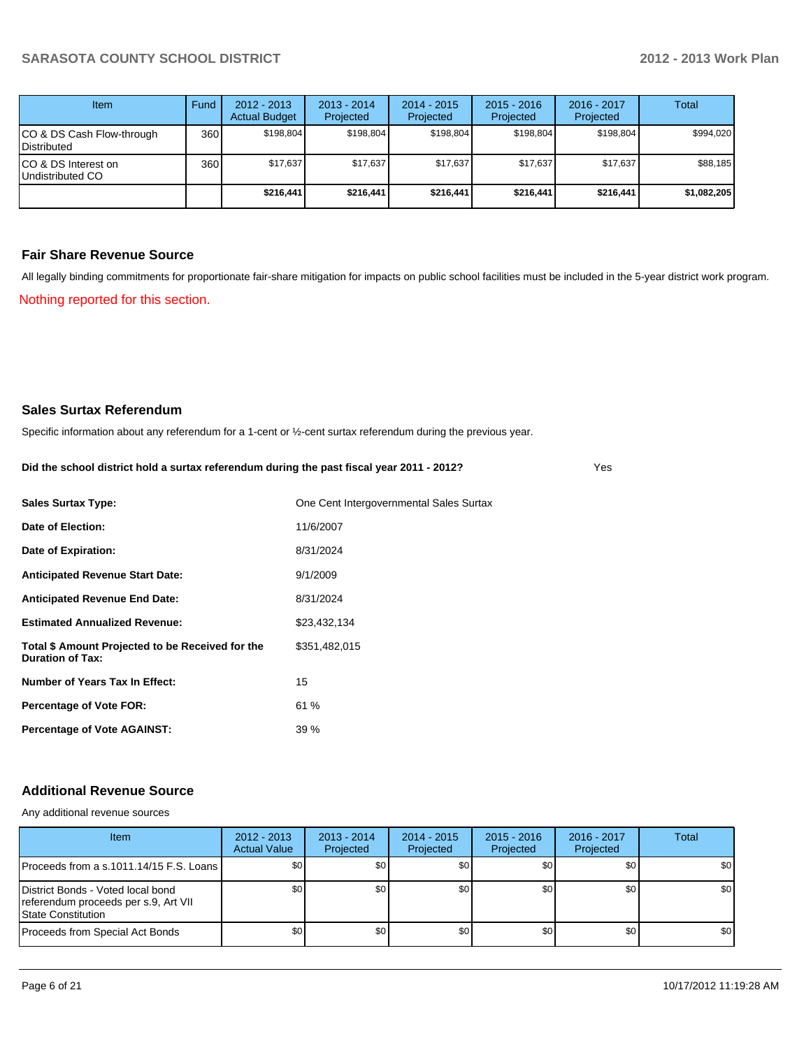Yes

| <b>Item</b>                              | Fund | $2012 - 2013$<br><b>Actual Budget</b> | $2013 - 2014$<br>Projected | $2014 - 2015$<br>Projected | $2015 - 2016$<br>Projected | $2016 - 2017$<br>Projected | Total       |
|------------------------------------------|------|---------------------------------------|----------------------------|----------------------------|----------------------------|----------------------------|-------------|
| CO & DS Cash Flow-through<br>Distributed | 360  | \$198.804                             | \$198,804                  | \$198.804                  | \$198.804                  | \$198,804                  | \$994,020   |
| CO & DS Interest on<br>Undistributed CO  | 360  | \$17,637                              | \$17,637                   | \$17.637                   | \$17,637                   | \$17,637                   | \$88,185    |
|                                          |      | \$216,441                             | \$216,441                  | \$216,441                  | \$216,441                  | \$216,441                  | \$1,082,205 |

#### **Fair Share Revenue Source**

Nothing reported for this section. All legally binding commitments for proportionate fair-share mitigation for impacts on public school facilities must be included in the 5-year district work program.

#### **Sales Surtax Referendum**

Specific information about any referendum for a 1-cent or ½-cent surtax referendum during the previous year.

| Did the school district hold a surtax referendum during the past fiscal year 2011 - 2012? |  |  |
|-------------------------------------------------------------------------------------------|--|--|
|                                                                                           |  |  |

| <b>Sales Surtax Type:</b>                                                   | One Cent Intergovernmental Sales Surtax |
|-----------------------------------------------------------------------------|-----------------------------------------|
| Date of Election:                                                           | 11/6/2007                               |
| Date of Expiration:                                                         | 8/31/2024                               |
| <b>Anticipated Revenue Start Date:</b>                                      | 9/1/2009                                |
| <b>Anticipated Revenue End Date:</b>                                        | 8/31/2024                               |
| <b>Estimated Annualized Revenue:</b>                                        | \$23,432,134                            |
| Total \$ Amount Projected to be Received for the<br><b>Duration of Tax:</b> | \$351,482,015                           |
| Number of Years Tax In Effect:                                              | 15                                      |
| <b>Percentage of Vote FOR:</b>                                              | 61 %                                    |
| <b>Percentage of Vote AGAINST:</b>                                          | 39%                                     |

# **Additional Revenue Source**

Any additional revenue sources

| <b>Item</b>                                                                                             | $2012 - 2013$<br><b>Actual Value</b> | $2013 - 2014$<br>Projected | 2014 - 2015<br>Projected | $2015 - 2016$<br>Projected | $2016 - 2017$<br>Projected | Total            |
|---------------------------------------------------------------------------------------------------------|--------------------------------------|----------------------------|--------------------------|----------------------------|----------------------------|------------------|
| IProceeds from a s.1011.14/15 F.S. Loans I                                                              | \$0 <sub>0</sub>                     | \$0                        | \$0                      | \$0                        | \$0                        | \$0 <sub>1</sub> |
| District Bonds - Voted local bond<br>referendum proceeds per s.9, Art VII<br><b>IState Constitution</b> | \$0 <sub>0</sub>                     | \$0                        | \$0                      | \$0 <sub>0</sub>           | \$0                        | \$0 <sub>1</sub> |
| Proceeds from Special Act Bonds                                                                         | \$0                                  | \$0                        | \$0                      | \$0                        | \$0 <sub>1</sub>           | \$0 <sub>1</sub> |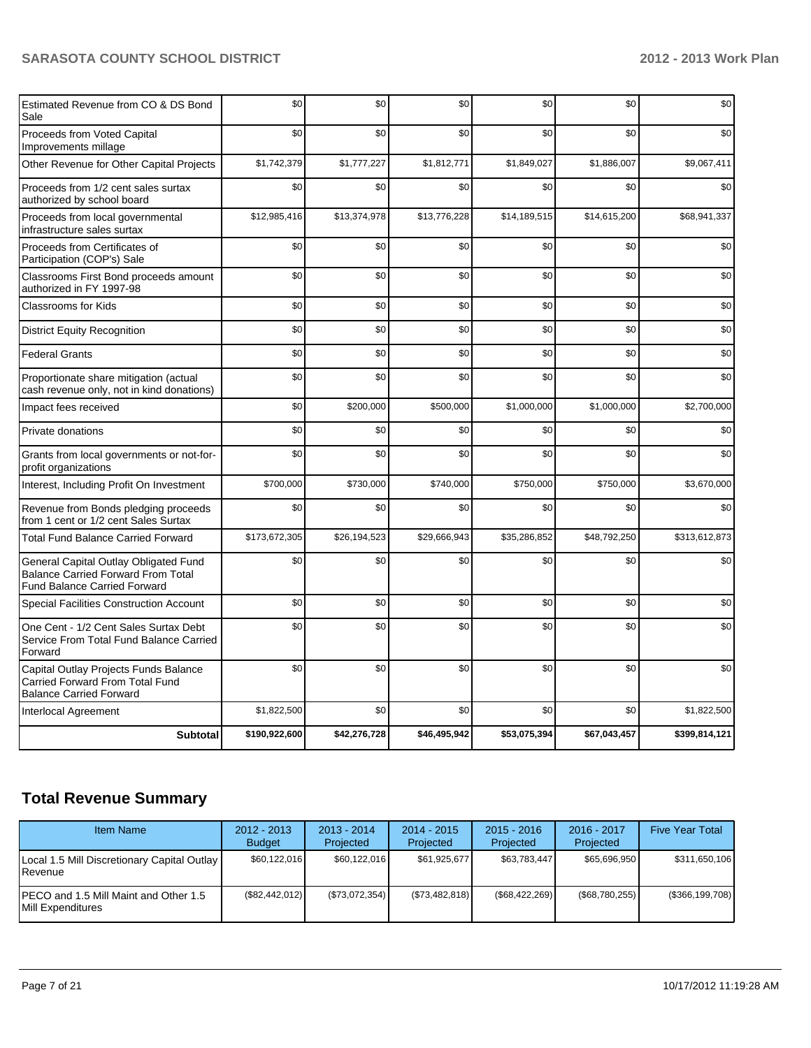| Estimated Revenue from CO & DS Bond<br>Sale                                                                               | \$0           | \$0          | \$0          | \$0          | \$0          | \$0           |
|---------------------------------------------------------------------------------------------------------------------------|---------------|--------------|--------------|--------------|--------------|---------------|
| Proceeds from Voted Capital<br>Improvements millage                                                                       | \$0           | \$0          | \$0          | \$0          | \$0          | \$0           |
| Other Revenue for Other Capital Projects                                                                                  | \$1,742,379   | \$1,777,227  | \$1,812,771  | \$1,849,027  | \$1,886,007  | \$9,067,411   |
| Proceeds from 1/2 cent sales surtax<br>authorized by school board                                                         | \$0           | \$0          | \$0          | \$0          | \$0          | \$0           |
| Proceeds from local governmental<br>infrastructure sales surtax                                                           | \$12,985,416  | \$13,374,978 | \$13,776,228 | \$14,189,515 | \$14,615,200 | \$68,941,337  |
| Proceeds from Certificates of<br>Participation (COP's) Sale                                                               | \$0           | \$0          | \$0          | \$0          | \$0          | \$0           |
| Classrooms First Bond proceeds amount<br>authorized in FY 1997-98                                                         | \$0           | \$0          | \$0          | \$0          | \$0          | \$0           |
| <b>Classrooms for Kids</b>                                                                                                | \$0           | \$0          | \$0          | \$0          | \$0          | \$0           |
| <b>District Equity Recognition</b>                                                                                        | \$0           | \$0          | \$0          | \$0          | \$0          | \$0           |
| <b>Federal Grants</b>                                                                                                     | \$0           | \$0          | \$0          | \$0          | \$0          | \$0           |
| Proportionate share mitigation (actual<br>cash revenue only, not in kind donations)                                       | \$0           | \$0          | \$0          | \$0          | \$0          | \$0           |
| Impact fees received                                                                                                      | \$0           | \$200,000    | \$500,000    | \$1,000,000  | \$1,000,000  | \$2,700,000   |
| Private donations                                                                                                         | \$0           | \$0          | \$0          | \$0          | \$0          | \$0           |
| Grants from local governments or not-for-<br>profit organizations                                                         | \$0           | \$0          | \$0          | \$0          | \$0          | \$0           |
| Interest, Including Profit On Investment                                                                                  | \$700,000     | \$730,000    | \$740,000    | \$750,000    | \$750,000    | \$3,670,000   |
| Revenue from Bonds pledging proceeds<br>from 1 cent or 1/2 cent Sales Surtax                                              | \$0           | \$0          | \$0          | \$0          | \$0          | \$0           |
| <b>Total Fund Balance Carried Forward</b>                                                                                 | \$173,672,305 | \$26,194,523 | \$29,666,943 | \$35,286,852 | \$48,792,250 | \$313,612,873 |
| General Capital Outlay Obligated Fund<br><b>Balance Carried Forward From Total</b><br><b>Fund Balance Carried Forward</b> | \$0           | \$0          | \$0          | \$0          | \$0          | \$0           |
| Special Facilities Construction Account                                                                                   | \$0           | \$0          | \$0          | \$0          | \$0          | \$0           |
| One Cent - 1/2 Cent Sales Surtax Debt<br>Service From Total Fund Balance Carried<br>Forward                               | \$0           | \$0          | \$0          | \$0          | \$0          | \$0           |
| Capital Outlay Projects Funds Balance<br>Carried Forward From Total Fund<br><b>Balance Carried Forward</b>                | \$0           | \$0          | \$0          | \$0          | \$0          | \$0           |
| <b>Interlocal Agreement</b>                                                                                               | \$1,822,500   | \$0          | \$0          | \$0          | \$0          | \$1,822,500   |
| <b>Subtotal</b>                                                                                                           | \$190,922,600 | \$42,276,728 | \$46,495,942 | \$53,075,394 | \$67,043,457 | \$399,814,121 |

# **Total Revenue Summary**

| <b>Item Name</b>                                                    | $2012 - 2013$<br><b>Budget</b> | $2013 - 2014$<br>Projected | $2014 - 2015$<br>Projected | $2015 - 2016$<br>Projected | $2016 - 2017$<br>Projected | <b>Five Year Total</b> |
|---------------------------------------------------------------------|--------------------------------|----------------------------|----------------------------|----------------------------|----------------------------|------------------------|
| Local 1.5 Mill Discretionary Capital Outlay  <br><b>I</b> Revenue   | \$60,122,016                   | \$60,122,016               | \$61,925,677               | \$63.783.447               | \$65,696,950               | \$311,650,106          |
| IPECO and 1.5 Mill Maint and Other 1.5<br><b>IMill Expenditures</b> | (\$82,442,012)                 | (\$73,072,354)             | (S73, 482, 818)            | $(\$68,422,269)$           | (\$68,780,255)             | $(\$366, 199, 708)$    |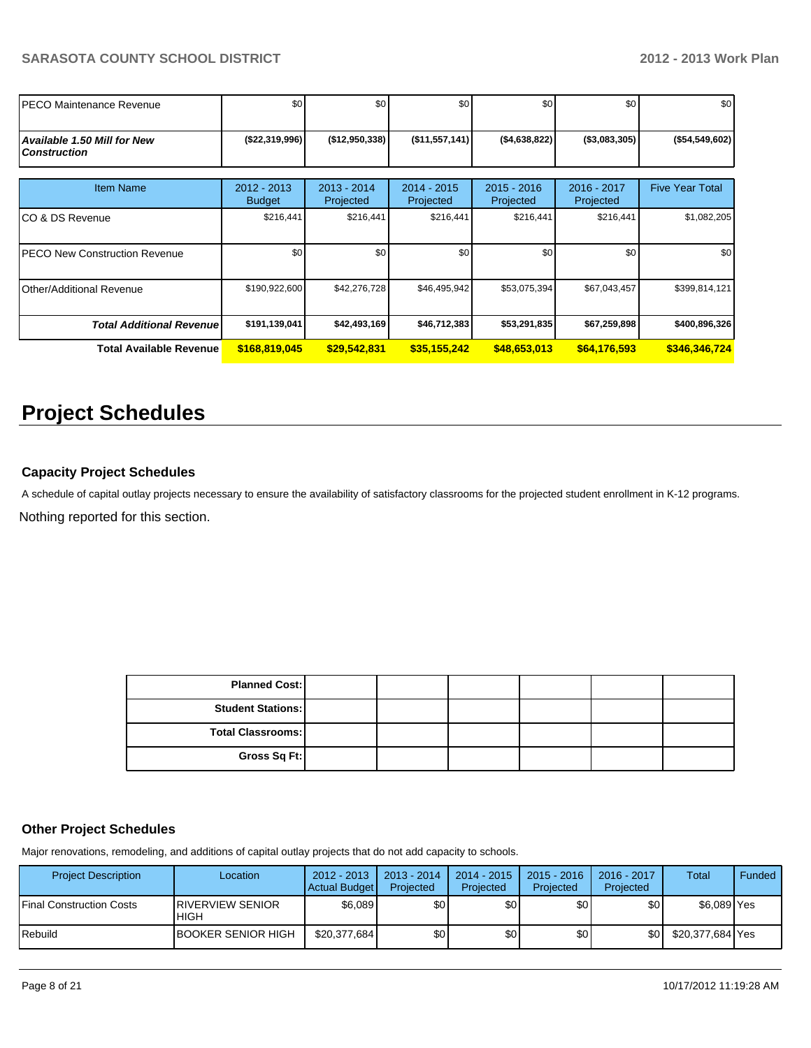| IPECO Maintenance Revenue                                 | \$0                          | \$0                        | \$0                        | \$0                        | \$0                      | \$0 <sub>1</sub>       |
|-----------------------------------------------------------|------------------------------|----------------------------|----------------------------|----------------------------|--------------------------|------------------------|
| <b>Available 1.50 Mill for New</b><br><b>Construction</b> | ( \$22, 319, 996)            | (\$12,950,338)             | (\$11,557,141)             | ( \$4,638,822)             | ( \$3,083,305)           | $(*54,549,602)$        |
| <b>Item Name</b>                                          | 2012 - 2013<br><b>Budget</b> | $2013 - 2014$<br>Projected | $2014 - 2015$<br>Projected | $2015 - 2016$<br>Projected | 2016 - 2017<br>Projected | <b>Five Year Total</b> |
| ICO & DS Revenue                                          | \$216,441                    | \$216,441                  | \$216,441                  | \$216,441                  | \$216,441                | \$1,082,205            |
| IPECO New Construction Revenue                            | \$0                          | \$0                        | \$0                        | \$0                        | \$0                      | \$0                    |
| <b>Other/Additional Revenue</b>                           | \$190,922,600                | \$42,276,728               | \$46,495,942               | \$53,075,394               | \$67,043,457             | \$399,814,121          |
| <b>Total Additional Revenuel</b>                          | \$191,139,041                | \$42,493,169               | \$46,712,383               | \$53,291,835               | \$67,259,898             | \$400,896,326          |
| Total Available Revenue                                   | \$168,819,045                | \$29,542,831               | \$35,155,242               | \$48,653,013               | \$64,176,593             | \$346,346,724          |

# **Project Schedules**

# **Capacity Project Schedules**

Nothing reported for this section. A schedule of capital outlay projects necessary to ensure the availability of satisfactory classrooms for the projected student enrollment in K-12 programs.

| <b>Planned Cost:</b>     |  |  |  |
|--------------------------|--|--|--|
| <b>Student Stations:</b> |  |  |  |
| <b>Total Classrooms:</b> |  |  |  |
| Gross Sq Ft:             |  |  |  |

#### **Other Project Schedules**

Major renovations, remodeling, and additions of capital outlay projects that do not add capacity to schools.

| <b>Project Description</b>       | Location                                | $2012 - 2013$<br>Actual Budget | $2013 - 2014$<br>Projected | 2014 - 2015<br>Projected | $2015 - 2016$<br>Projected | 2016 - 2017<br>Projected | <b>Total</b>     | <b>Funded</b> |
|----------------------------------|-----------------------------------------|--------------------------------|----------------------------|--------------------------|----------------------------|--------------------------|------------------|---------------|
| <b>IFinal Construction Costs</b> | <b>IRIVERVIEW SENIOR</b><br><b>HIGH</b> | \$6.089                        | \$٥Ι                       | \$0                      | \$0                        | \$0                      | \$6.089 Yes      |               |
| <b>IRebuild</b>                  | <b>BOOKER SENIOR HIGH</b>               | \$20,377,684                   | \$0                        | \$0                      | ا 30                       | \$0                      | \$20,377,684 Yes |               |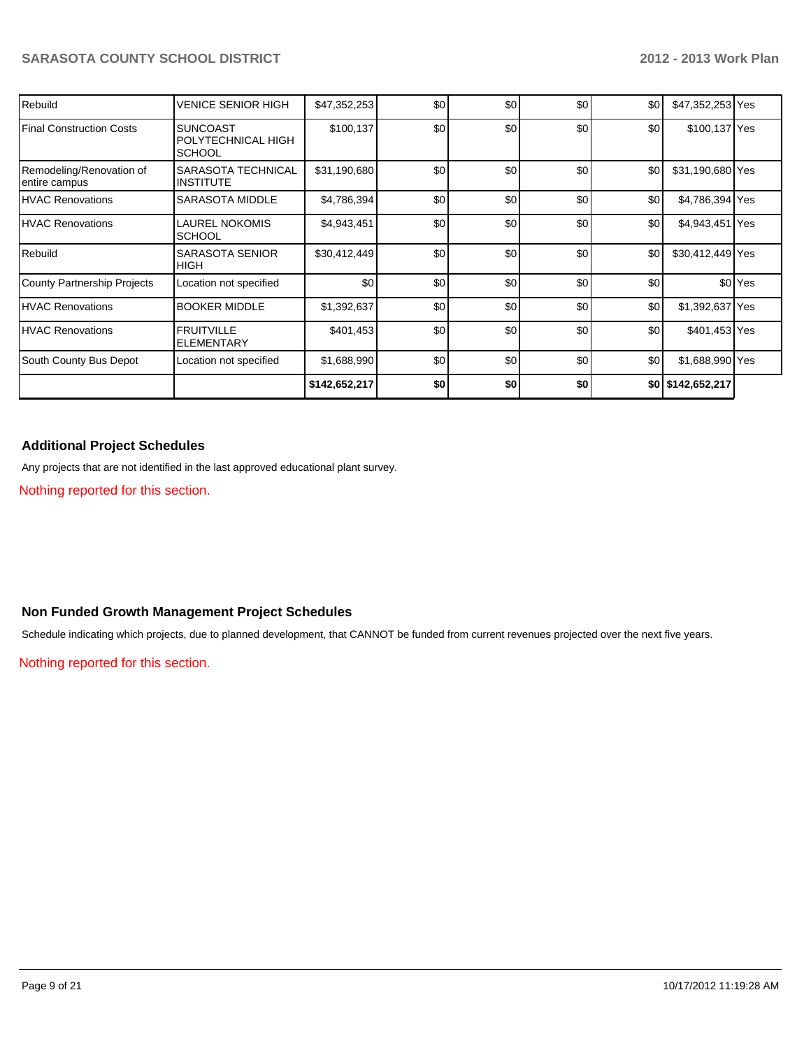| Rebuild                                   | VENICE SENIOR HIGH                                     | \$47,352,253  | \$0 | \$0 | \$0 | \$0 | \$47,352,253 Yes  |                    |
|-------------------------------------------|--------------------------------------------------------|---------------|-----|-----|-----|-----|-------------------|--------------------|
| Final Construction Costs                  | <b>SUNCOAST</b><br>POLYTECHNICAL HIGH<br><b>SCHOOL</b> | \$100,137     | \$0 | \$0 | \$0 | \$0 | \$100,137 Yes     |                    |
| Remodeling/Renovation of<br>entire campus | SARASOTA TECHNICAL<br><b>INSTITUTE</b>                 | \$31,190,680  | \$0 | \$0 | \$0 | \$0 | \$31,190,680 Yes  |                    |
| <b>IHVAC Renovations</b>                  | <b>SARASOTA MIDDLE</b>                                 | \$4,786,394   | \$0 | \$0 | \$0 | \$0 | \$4,786,394 Yes   |                    |
| <b>IHVAC Renovations</b>                  | LAUREL NOKOMIS<br><b>SCHOOL</b>                        | \$4,943,451   | \$0 | \$0 | \$0 | \$0 | \$4,943,451 Yes   |                    |
| Rebuild                                   | <b>SARASOTA SENIOR</b><br><b>HIGH</b>                  | \$30,412,449  | \$0 | \$0 | \$0 | \$0 | \$30,412,449 Yes  |                    |
| County Partnership Projects               | Location not specified                                 | \$0           | \$0 | \$0 | \$0 | \$0 |                   | \$0 <sup>Yes</sup> |
| <b>IHVAC Renovations</b>                  | <b>BOOKER MIDDLE</b>                                   | \$1,392,637   | \$0 | \$0 | \$0 | \$0 | \$1,392,637 Yes   |                    |
| <b>IHVAC Renovations</b>                  | <b>FRUITVILLE</b><br><b>ELEMENTARY</b>                 | \$401,453     | \$0 | \$0 | \$0 | \$0 | \$401,453 Yes     |                    |
| South County Bus Depot                    | Location not specified                                 | \$1,688,990   | \$0 | \$0 | \$0 | \$0 | \$1,688,990 Yes   |                    |
|                                           |                                                        | \$142,652,217 | \$0 | \$0 | \$0 |     | \$0 \$142,652,217 |                    |

# **Additional Project Schedules**

Any projects that are not identified in the last approved educational plant survey.

Nothing reported for this section.

## **Non Funded Growth Management Project Schedules**

Schedule indicating which projects, due to planned development, that CANNOT be funded from current revenues projected over the next five years.

Nothing reported for this section.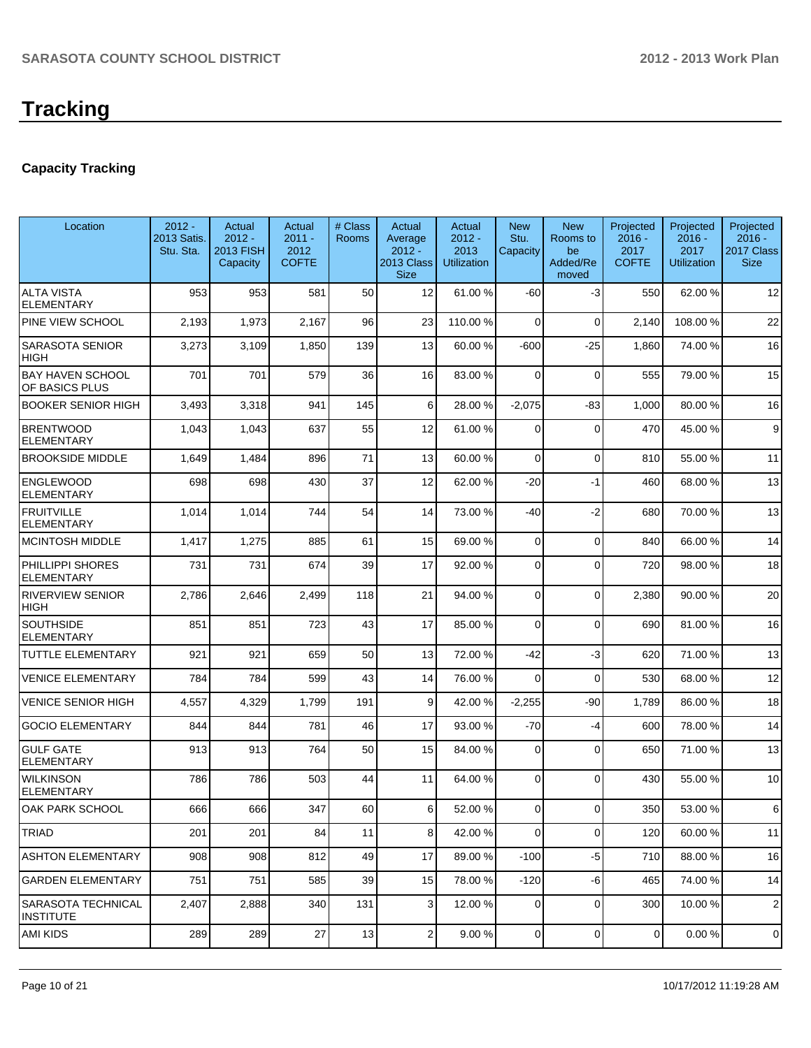# **Tracking**

# **Capacity Tracking**

| Location                                  | $2012 -$<br>2013 Satis.<br>Stu. Sta. | Actual<br>$2012 -$<br>2013 FISH<br>Capacity | Actual<br>$2011 -$<br>2012<br><b>COFTE</b> | # Class<br><b>Rooms</b> | Actual<br>Average<br>$2012 -$<br><b>2013 Class</b><br><b>Size</b> | Actual<br>$2012 -$<br>2013<br><b>Utilization</b> | <b>New</b><br>Stu.<br>Capacity | <b>New</b><br>Rooms to<br>be<br>Added/Re<br>moved | Projected<br>$2016 -$<br>2017<br><b>COFTE</b> | Projected<br>$2016 -$<br>2017<br><b>Utilization</b> | Projected<br>$2016 -$<br>2017 Class<br><b>Size</b> |
|-------------------------------------------|--------------------------------------|---------------------------------------------|--------------------------------------------|-------------------------|-------------------------------------------------------------------|--------------------------------------------------|--------------------------------|---------------------------------------------------|-----------------------------------------------|-----------------------------------------------------|----------------------------------------------------|
| <b>ALTA VISTA</b><br><b>ELEMENTARY</b>    | 953                                  | 953                                         | 581                                        | 50                      | 12                                                                | 61.00 %                                          | -60                            | $-3$                                              | 550                                           | 62.00%                                              | 12                                                 |
| PINE VIEW SCHOOL                          | 2,193                                | 1,973                                       | 2,167                                      | 96                      | 23                                                                | 110.00 %                                         | 0                              | $\Omega$                                          | 2,140                                         | 108.00%                                             | 22                                                 |
| <b>SARASOTA SENIOR</b><br><b>HIGH</b>     | 3,273                                | 3,109                                       | 1,850                                      | 139                     | 13                                                                | 60.00 %                                          | $-600$                         | $-25$                                             | 1,860                                         | 74.00 %                                             | 16                                                 |
| <b>BAY HAVEN SCHOOL</b><br>OF BASICS PLUS | 701                                  | 701                                         | 579                                        | 36                      | 16                                                                | 83.00 %                                          | $\Omega$                       | $\Omega$                                          | 555                                           | 79.00 %                                             | 15                                                 |
| <b>BOOKER SENIOR HIGH</b>                 | 3,493                                | 3,318                                       | 941                                        | 145                     | 6                                                                 | 28.00 %                                          | $-2,075$                       | -83                                               | 1,000                                         | 80.00%                                              | 16                                                 |
| <b>BRENTWOOD</b><br><b>ELEMENTARY</b>     | 1,043                                | 1,043                                       | 637                                        | 55                      | 12                                                                | 61.00 %                                          | $\Omega$                       | $\Omega$                                          | 470                                           | 45.00 %                                             | 9                                                  |
| <b>BROOKSIDE MIDDLE</b>                   | 1,649                                | 1,484                                       | 896                                        | 71                      | 13                                                                | 60.00 %                                          | $\Omega$                       | $\Omega$                                          | 810                                           | 55.00 %                                             | 11                                                 |
| <b>ENGLEWOOD</b><br><b>ELEMENTARY</b>     | 698                                  | 698                                         | 430                                        | 37                      | 12                                                                | 62.00 %                                          | $-20$                          | $-1$                                              | 460                                           | 68.00 %                                             | 13                                                 |
| <b>FRUITVILLE</b><br><b>ELEMENTARY</b>    | 1,014                                | 1,014                                       | 744                                        | 54                      | 14                                                                | 73.00 %                                          | $-40$                          | $-2$                                              | 680                                           | 70.00%                                              | 13                                                 |
| <b>MCINTOSH MIDDLE</b>                    | 1,417                                | 1,275                                       | 885                                        | 61                      | 15                                                                | 69.00 %                                          | $\Omega$                       | $\Omega$                                          | 840                                           | 66.00 %                                             | 14                                                 |
| PHILLIPPI SHORES<br><b>ELEMENTARY</b>     | 731                                  | 731                                         | 674                                        | 39                      | 17                                                                | 92.00 %                                          | $\Omega$                       | $\Omega$                                          | 720                                           | 98.00%                                              | 18                                                 |
| <b>RIVERVIEW SENIOR</b><br><b>HIGH</b>    | 2,786                                | 2,646                                       | 2,499                                      | 118                     | 21                                                                | 94.00 %                                          | $\Omega$                       | $\Omega$                                          | 2,380                                         | 90.00 %                                             | 20                                                 |
| <b>SOUTHSIDE</b><br><b>ELEMENTARY</b>     | 851                                  | 851                                         | 723                                        | 43                      | 17                                                                | 85.00 %                                          | $\Omega$                       | $\Omega$                                          | 690                                           | 81.00%                                              | 16                                                 |
| <b>TUTTLE ELEMENTARY</b>                  | 921                                  | 921                                         | 659                                        | 50                      | 13                                                                | 72.00 %                                          | $-42$                          | $-3$                                              | 620                                           | 71.00%                                              | 13                                                 |
| <b>VENICE ELEMENTARY</b>                  | 784                                  | 784                                         | 599                                        | 43                      | 14                                                                | 76.00 %                                          | $\Omega$                       | $\Omega$                                          | 530                                           | 68.00 %                                             | 12                                                 |
| <b>VENICE SENIOR HIGH</b>                 | 4,557                                | 4,329                                       | 1,799                                      | 191                     | 9                                                                 | 42.00 %                                          | $-2,255$                       | $-90$                                             | 1,789                                         | 86.00 %                                             | 18                                                 |
| <b>GOCIO ELEMENTARY</b>                   | 844                                  | 844                                         | 781                                        | 46                      | 17                                                                | 93.00 %                                          | $-70$                          | $-4$                                              | 600                                           | 78.00 %                                             | 14                                                 |
| <b>GULF GATE</b><br><b>ELEMENTARY</b>     | 913                                  | 913                                         | 764                                        | 50                      | 15                                                                | 84.00 %                                          | $\Omega$                       | $\Omega$                                          | 650                                           | 71.00%                                              | 13                                                 |
| <b>WILKINSON</b><br>ELEMENTARY            | 786                                  | 786                                         | 503                                        | 44                      | 11                                                                | 64.00 %                                          | $\Omega$                       | $\Omega$                                          | 430                                           | 55.00 %                                             | 10                                                 |
| OAK PARK SCHOOL                           | 666                                  | 666                                         | 347                                        | 60                      | $6 \mid$                                                          | 52.00 %                                          | $\vert 0 \vert$                | $\overline{0}$                                    | 350                                           | 53.00 %                                             | 6                                                  |
| TRIAD                                     | 201                                  | 201                                         | 84                                         | 11                      | 8 <sup>1</sup>                                                    | 42.00 %                                          | $\overline{0}$                 | $\overline{0}$                                    | 120                                           | 60.00%                                              | 11                                                 |
| <b>ASHTON ELEMENTARY</b>                  | 908                                  | 908                                         | 812                                        | 49                      | 17                                                                | 89.00 %                                          | $-100$                         | $-5$                                              | 710                                           | 88.00 %                                             | 16                                                 |
| <b>GARDEN ELEMENTARY</b>                  | 751                                  | 751                                         | 585                                        | 39                      | 15                                                                | 78.00 %                                          | $-120$                         | $-6$                                              | 465                                           | 74.00%                                              | 14                                                 |
| SARASOTA TECHNICAL<br>INSTITUTE           | 2,407                                | 2,888                                       | 340                                        | 131                     | 3                                                                 | 12.00 %                                          | 0                              | $\overline{0}$                                    | 300                                           | 10.00%                                              | $\overline{2}$                                     |
| IAMI KIDS                                 | 289                                  | 289                                         | 27                                         | 13                      | $\mathbf{2}$                                                      | 9.00%                                            | $\overline{0}$                 | $\overline{0}$                                    | $\overline{0}$                                | $0.00 \%$                                           | 0                                                  |
|                                           |                                      |                                             |                                            |                         |                                                                   |                                                  |                                |                                                   |                                               |                                                     |                                                    |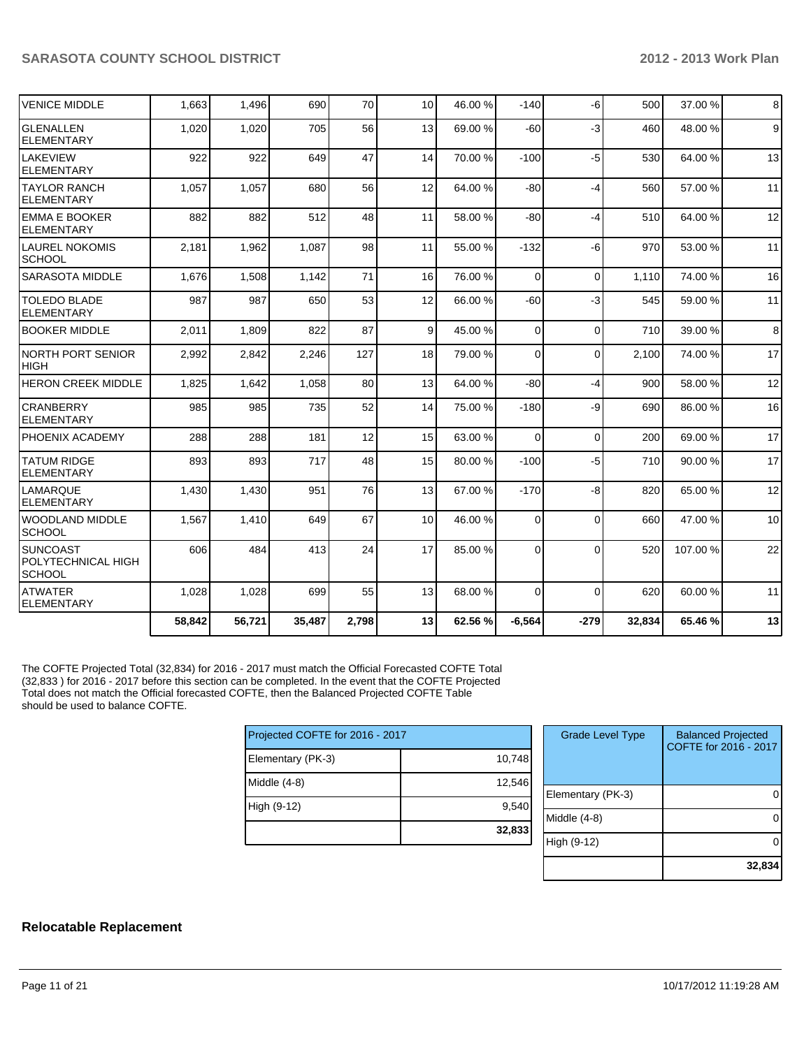| <b>VENICE MIDDLE</b>                             | 1,663  | 1,496  | 690    | 70    | 10 <sup>1</sup> | 46.00 % | $-140$   | $-6$     | 500    | 37.00 % | 8  |
|--------------------------------------------------|--------|--------|--------|-------|-----------------|---------|----------|----------|--------|---------|----|
| lglenallen<br><b>ELEMENTARY</b>                  | 1,020  | 1,020  | 705    | 56    | 13              | 69.00 % | $-60$    | $-3$     | 460    | 48.00%  | 9  |
| <b>LAKEVIEW</b><br>ELEMENTARY                    | 922    | 922    | 649    | 47    | 14              | 70.00 % | $-100$   | $-5$     | 530    | 64.00%  | 13 |
| ITAYLOR RANCH<br>IELEMENTARY                     | 1,057  | 1.057  | 680    | 56    | 12              | 64.00 % | $-80$    | $-4$     | 560    | 57.00 % | 11 |
| <b>EMMA E BOOKER</b><br>IELEMENTARY              | 882    | 882    | 512    | 48    | 11              | 58.00 % | $-80$    | $-4$     | 510    | 64.00%  | 12 |
| <b>LAUREL NOKOMIS</b><br><b>SCHOOL</b>           | 2.181  | 1,962  | 1.087  | 98    | 11              | 55.00 % | $-132$   | $-6$     | 970    | 53.00 % | 11 |
| <b>SARASOTA MIDDLE</b>                           | 1,676  | 1,508  | 1,142  | 71    | 16              | 76.00 % | $\Omega$ | $\Omega$ | 1,110  | 74.00%  | 16 |
| <b>TOLEDO BLADE</b><br><b>ELEMENTARY</b>         | 987    | 987    | 650    | 53    | 12              | 66.00 % | $-60$    | $-3$     | 545    | 59.00 % | 11 |
| <b>BOOKER MIDDLE</b>                             | 2,011  | 1,809  | 822    | 87    | $\vert$ 9       | 45.00 % | $\Omega$ | $\Omega$ | 710    | 39.00 % | 8  |
| INORTH PORT SENIOR<br><b>HIGH</b>                | 2,992  | 2,842  | 2,246  | 127   | 18              | 79.00 % | $\Omega$ | $\Omega$ | 2,100  | 74.00 % | 17 |
| <b>HERON CREEK MIDDLE</b>                        | 1,825  | 1,642  | 1,058  | 80    | 13              | 64.00 % | $-80$    | $-4$     | 900    | 58.00 % | 12 |
| <b>CRANBERRY</b><br><b>ELEMENTARY</b>            | 985    | 985    | 735    | 52    | 14              | 75.00 % | $-180$   | -9       | 690    | 86.00 % | 16 |
| PHOENIX ACADEMY                                  | 288    | 288    | 181    | 12    | 15              | 63.00 % | $\Omega$ | $\Omega$ | 200    | 69.00 % | 17 |
| <b>TATUM RIDGE</b><br><b>ELEMENTARY</b>          | 893    | 893    | 717    | 48    | 15              | 80.00 % | $-100$   | $-5$     | 710    | 90.00%  | 17 |
| <b>LAMARQUE</b><br><b>IELEMENTARY</b>            | 1,430  | 1,430  | 951    | 76    | 13              | 67.00 % | $-170$   | $-8$     | 820    | 65.00 % | 12 |
| IWOODLAND MIDDLE<br>Ischool                      | 1,567  | 1,410  | 649    | 67    | 10 <sup>1</sup> | 46.00 % | $\Omega$ | $\Omega$ | 660    | 47.00 % | 10 |
| ISUNCOAST<br>POLYTECHNICAL HIGH<br><b>SCHOOL</b> | 606    | 484    | 413    | 24    | 17              | 85.00 % | $\Omega$ | $\Omega$ | 520    | 107.00% | 22 |
| <b>ATWATER</b><br>ELEMENTARY                     | 1,028  | 1,028  | 699    | 55    | 13              | 68.00 % | $\Omega$ | $\Omega$ | 620    | 60.00%  | 11 |
|                                                  | 58,842 | 56,721 | 35,487 | 2,798 | 13              | 62.56 % | $-6,564$ | $-279$   | 32,834 | 65.46%  | 13 |

The COFTE Projected Total (32,834) for 2016 - 2017 must match the Official Forecasted COFTE Total (32,833 ) for 2016 - 2017 before this section can be completed. In the event that the COFTE Projected Total does not match the Official forecasted COFTE, then the Balanced Projected COFTE Table should be used to balance COFTE.

| Projected COFTE for 2016 - 2017 |        |  |  |  |  |
|---------------------------------|--------|--|--|--|--|
| Elementary (PK-3)               | 10,748 |  |  |  |  |
| Middle $(4-8)$                  | 12,546 |  |  |  |  |
| High (9-12)                     | 9,540  |  |  |  |  |
|                                 | 32,833 |  |  |  |  |

| <b>Grade Level Type</b> | <b>Balanced Projected</b><br>COFTE for 2016 - 2017 |
|-------------------------|----------------------------------------------------|
| Elementary (PK-3)       |                                                    |
| Middle (4-8)            |                                                    |
| High (9-12)             |                                                    |
|                         | 32,834                                             |

### **Relocatable Replacement**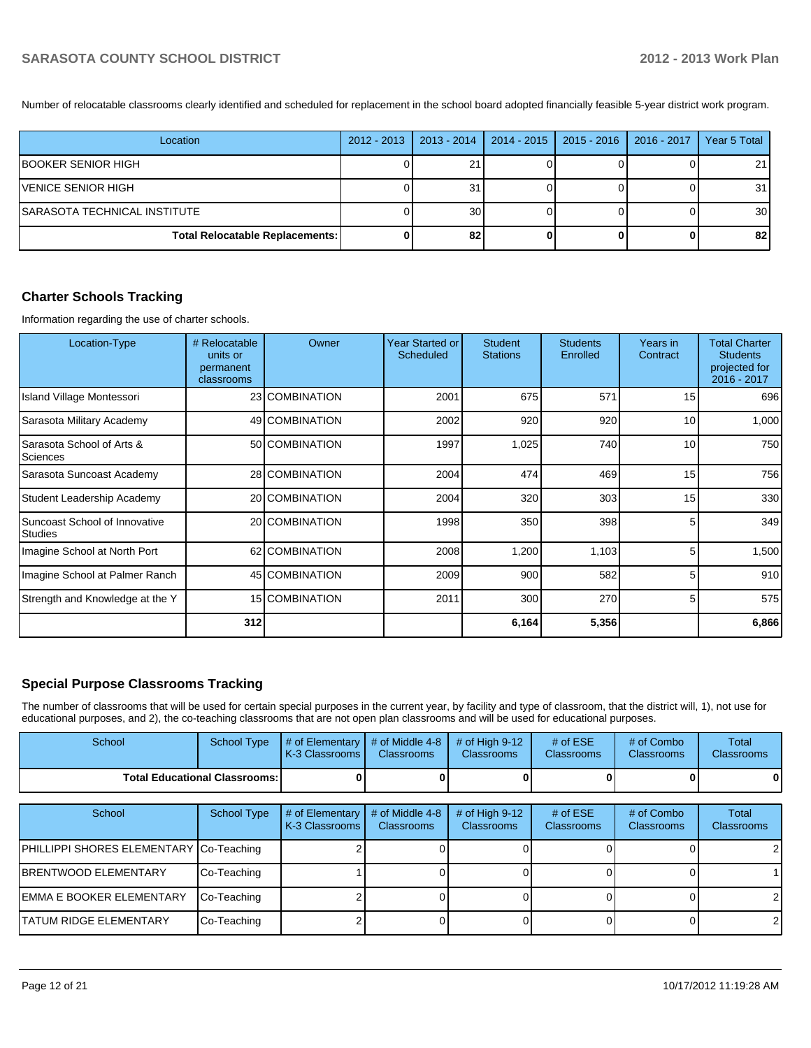Number of relocatable classrooms clearly identified and scheduled for replacement in the school board adopted financially feasible 5-year district work program.

| Location                               | 2012 - 2013   2013 - 2014 | $2014 - 2015$ | $ 2015 - 2016 $ | $2016 - 2017$ | Year 5 Total    |
|----------------------------------------|---------------------------|---------------|-----------------|---------------|-----------------|
| IBOOKER SENIOR HIGH                    | 21                        |               |                 |               | 21 <sup>1</sup> |
| VENICE SENIOR HIGH                     | 31                        |               |                 |               | 31              |
| SARASOTA TECHNICAL INSTITUTE           | 30 <sup>1</sup>           |               |                 |               | 30 <sup>1</sup> |
| <b>Total Relocatable Replacements:</b> | 82                        |               |                 |               | 82              |

## **Charter Schools Tracking**

Information regarding the use of charter schools.

| Location-Type                                   | # Relocatable<br>units or<br>permanent<br>classrooms | Owner          | Year Started or<br>Scheduled | <b>Student</b><br><b>Stations</b> | <b>Students</b><br>Enrolled | Years in<br>Contract | <b>Total Charter</b><br><b>Students</b><br>projected for<br>2016 - 2017 |
|-------------------------------------------------|------------------------------------------------------|----------------|------------------------------|-----------------------------------|-----------------------------|----------------------|-------------------------------------------------------------------------|
| Island Village Montessori                       |                                                      | 23 COMBINATION | 2001                         | 675                               | 571                         | 15                   | 696                                                                     |
| Sarasota Military Academy                       |                                                      | 49 COMBINATION | 2002                         | 920                               | 920                         | 10                   | 1,000                                                                   |
| Sarasota School of Arts &<br>Sciences           |                                                      | 50 COMBINATION | 1997                         | 1,025                             | 740                         | 10                   | 750                                                                     |
| Sarasota Suncoast Academy                       |                                                      | 28 COMBINATION | 2004                         | 474                               | 469                         | 15                   | 756                                                                     |
| Student Leadership Academy                      |                                                      | 20 COMBINATION | 2004                         | 320                               | 303                         | 15                   | 330                                                                     |
| Suncoast School of Innovative<br><b>Studies</b> |                                                      | 20 COMBINATION | 1998                         | 350                               | 398                         | 5                    | 349                                                                     |
| Imagine School at North Port                    |                                                      | 62 COMBINATION | 2008                         | 1,200                             | 1,103                       | 5                    | 1,500                                                                   |
| Imagine School at Palmer Ranch                  |                                                      | 45 COMBINATION | 2009                         | 900                               | 582                         | 5                    | 910                                                                     |
| Strength and Knowledge at the Y                 |                                                      | 15 COMBINATION | 2011                         | 300                               | 270                         | 5                    | 575                                                                     |
|                                                 | 312                                                  |                |                              | 6,164                             | 5,356                       |                      | 6,866                                                                   |

# **Special Purpose Classrooms Tracking**

The number of classrooms that will be used for certain special purposes in the current year, by facility and type of classroom, that the district will, 1), not use for educational purposes, and 2), the co-teaching classrooms that are not open plan classrooms and will be used for educational purposes.

| School                                  | <b>School Type</b>                   | # of Elementary<br>K-3 Classrooms | # of Middle 4-8<br><b>Classrooms</b> | # of High $9-12$<br>Classrooms      | # of $ESE$<br>Classrooms | # of Combo<br><b>Classrooms</b> | Total<br><b>Classrooms</b> |
|-----------------------------------------|--------------------------------------|-----------------------------------|--------------------------------------|-------------------------------------|--------------------------|---------------------------------|----------------------------|
|                                         | <b>Total Educational Classrooms:</b> |                                   |                                      |                                     |                          |                                 |                            |
|                                         |                                      |                                   |                                      |                                     |                          |                                 |                            |
| School                                  | <b>School Type</b>                   | # of Elementary<br>K-3 Classrooms | # of Middle 4-8<br><b>Classrooms</b> | # of High 9-12<br><b>Classrooms</b> | # of $ESE$<br>Classrooms | # of Combo<br><b>Classrooms</b> | Total<br><b>Classrooms</b> |
| PHILLIPPI SHORES ELEMENTARY Co-Teaching |                                      |                                   |                                      |                                     |                          |                                 |                            |
| <b>IBRENTWOOD ELEMENTARY</b>            | Co-Teaching                          |                                   |                                      |                                     |                          |                                 |                            |
| <b>IEMMA E BOOKER ELEMENTARY</b>        | Co-Teaching                          |                                   |                                      |                                     |                          |                                 |                            |
| <b>TATUM RIDGE ELEMENTARY</b>           | Co-Teaching                          |                                   |                                      |                                     |                          |                                 |                            |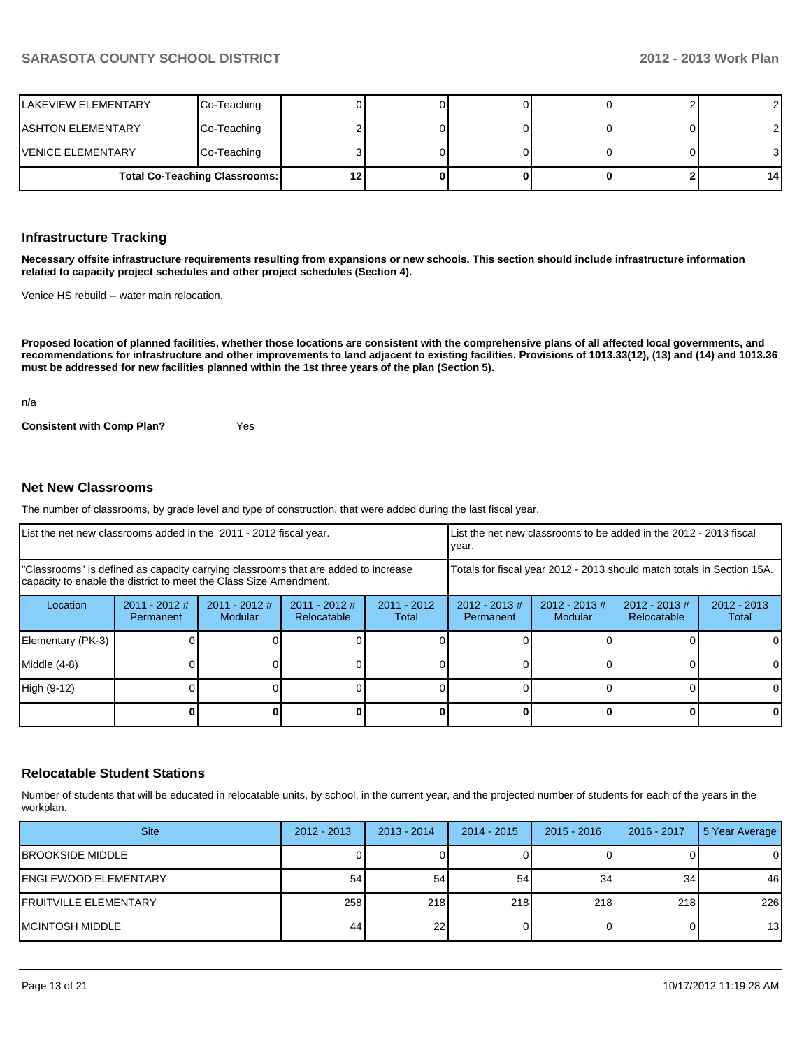| LAKEVIEW ELEMENTARY      | Co-Teaching                          |  |  |    |
|--------------------------|--------------------------------------|--|--|----|
| ASHTON ELEMENTARY        | Co-Teaching                          |  |  |    |
| <b>VENICE ELEMENTARY</b> | Co-Teaching                          |  |  |    |
|                          | <b>Total Co-Teaching Classrooms:</b> |  |  | 14 |

#### **Infrastructure Tracking**

**Necessary offsite infrastructure requirements resulting from expansions or new schools. This section should include infrastructure information related to capacity project schedules and other project schedules (Section 4).**

Venice HS rebuild -- water main relocation.

**Proposed location of planned facilities, whether those locations are consistent with the comprehensive plans of all affected local governments, and recommendations for infrastructure and other improvements to land adjacent to existing facilities. Provisions of 1013.33(12), (13) and (14) and 1013.36 must be addressed for new facilities planned within the 1st three years of the plan (Section 5).**

n/a

**Consistent with Comp Plan?** Yes

## **Net New Classrooms**

The number of classrooms, by grade level and type of construction, that were added during the last fiscal year.

| List the net new classrooms added in the 2011 - 2012 fiscal year.                                                                                       |                              |                                   |                                |                                                                        | LList the net new classrooms to be added in the 2012 - 2013 fiscal<br>Ivear. |                                   |                                 |                        |
|---------------------------------------------------------------------------------------------------------------------------------------------------------|------------------------------|-----------------------------------|--------------------------------|------------------------------------------------------------------------|------------------------------------------------------------------------------|-----------------------------------|---------------------------------|------------------------|
| "Classrooms" is defined as capacity carrying classrooms that are added to increase<br>capacity to enable the district to meet the Class Size Amendment. |                              |                                   |                                | Totals for fiscal year 2012 - 2013 should match totals in Section 15A. |                                                                              |                                   |                                 |                        |
| Location                                                                                                                                                | $2011 - 2012$ #<br>Permanent | $2011 - 2012$ #<br><b>Modular</b> | $2011 - 2012$ #<br>Relocatable | $2011 - 2012$<br>Total                                                 | $2012 - 2013$ #<br>Permanent                                                 | $2012 - 2013$ #<br><b>Modular</b> | $2012 - 2013 \#$<br>Relocatable | $2012 - 2013$<br>Total |
| Elementary (PK-3)                                                                                                                                       |                              |                                   |                                |                                                                        |                                                                              |                                   |                                 | 0                      |
| Middle (4-8)                                                                                                                                            |                              |                                   |                                |                                                                        |                                                                              |                                   |                                 | 0                      |
| High (9-12)                                                                                                                                             |                              |                                   |                                |                                                                        |                                                                              |                                   |                                 | $\Omega$               |
|                                                                                                                                                         |                              |                                   |                                |                                                                        |                                                                              |                                   |                                 | 0                      |

#### **Relocatable Student Stations**

Number of students that will be educated in relocatable units, by school, in the current year, and the projected number of students for each of the years in the workplan.

| <b>Site</b>                   | $2012 - 2013$ | $2013 - 2014$   | $2014 - 2015$ | $2015 - 2016$ | 2016 - 2017 | 5 Year Average |
|-------------------------------|---------------|-----------------|---------------|---------------|-------------|----------------|
| <b>IBROOKSIDE MIDDLE</b>      |               |                 |               |               |             |                |
| <b>IENGLEWOOD ELEMENTARY</b>  | 54            | 54              | 54            | 34            | 34          | 46             |
| <b>IFRUITVILLE ELEMENTARY</b> | 258           | 218             | 218           | 218           | 218         | 226            |
| IMCINTOSH MIDDLE              | 44            | 22 <sub>l</sub> |               |               |             | 13             |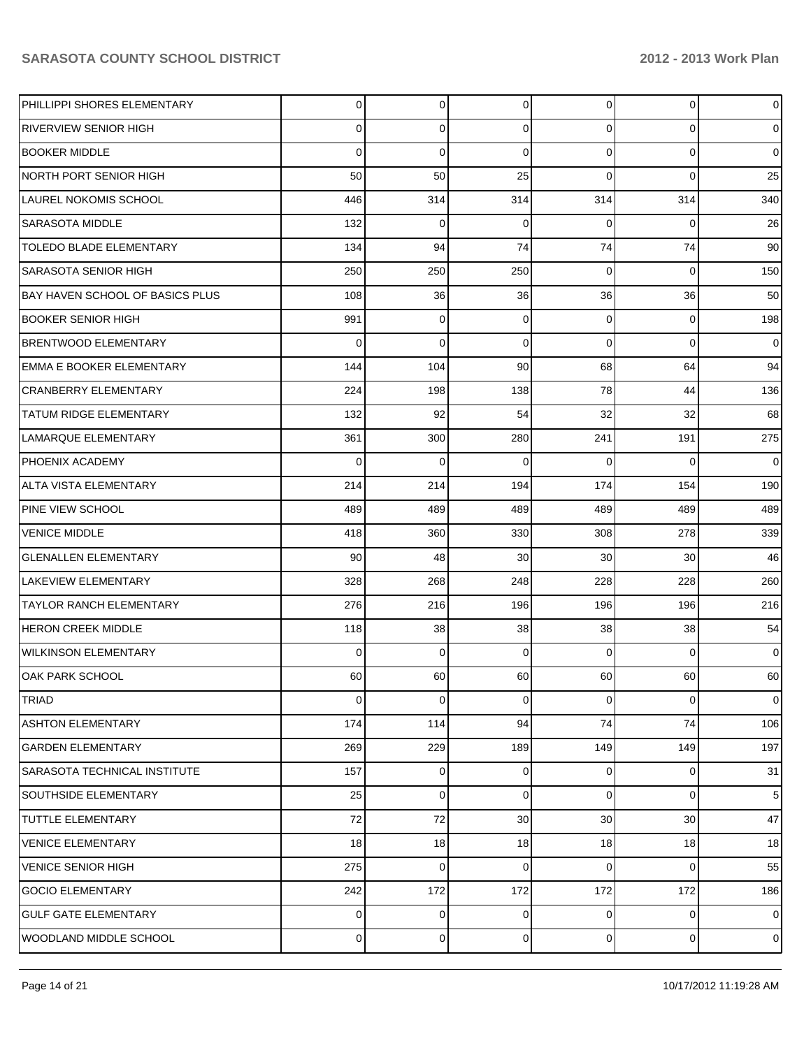| PHILLIPPI SHORES ELEMENTARY     | $\overline{0}$ | $\overline{0}$ | $\overline{0}$  | $\overline{0}$  | $\overline{0}$ | $\mathbf 0$     |
|---------------------------------|----------------|----------------|-----------------|-----------------|----------------|-----------------|
| <b>RIVERVIEW SENIOR HIGH</b>    | $\Omega$       | 0              | $\Omega$        | $\Omega$        | $\overline{0}$ | $\overline{0}$  |
| <b>BOOKER MIDDLE</b>            | $\Omega$       | $\mathbf 0$    | $\Omega$        | $\Omega$        | $\overline{0}$ | $\overline{0}$  |
| NORTH PORT SENIOR HIGH          | 50             | 50             | 25              | $\Omega$        | $\Omega$       | 25              |
| <b>LAUREL NOKOMIS SCHOOL</b>    | 446            | 314            | 314             | 314             | 314            | 340             |
| <b>SARASOTA MIDDLE</b>          | 132            | $\mathbf 0$    | $\mathbf 0$     | $\Omega$        | $\overline{0}$ | 26              |
| <b>TOLEDO BLADE ELEMENTARY</b>  | 134            | 94             | 74              | 74              | 74             | 90              |
| <b>SARASOTA SENIOR HIGH</b>     | 250            | 250            | 250             | $\Omega$        | $\overline{0}$ | 150             |
| BAY HAVEN SCHOOL OF BASICS PLUS | 108            | 36             | 36              | 36              | 36             | 50              |
| BOOKER SENIOR HIGH              | 991            | 0              | $\mathbf 0$     | $\Omega$        | $\overline{0}$ | 198             |
| <b>BRENTWOOD ELEMENTARY</b>     | $\Omega$       | $\Omega$       | $\Omega$        | $\Omega$        | $\overline{0}$ | $\overline{0}$  |
| <b>EMMA E BOOKER ELEMENTARY</b> | 144            | 104            | 90              | 68              | 64             | 94              |
| <b>CRANBERRY ELEMENTARY</b>     | 224            | 198            | 138             | 78              | 44             | 136             |
| <b>TATUM RIDGE ELEMENTARY</b>   | 132            | 92             | 54              | 32              | 32             | 68              |
| LAMARQUE ELEMENTARY             | 361            | 300            | 280             | 241             | 191            | 275             |
| PHOENIX ACADEMY                 | $\Omega$       | 0              | $\mathbf 0$     | $\Omega$        | $\Omega$       | $\overline{0}$  |
| <b>ALTA VISTA ELEMENTARY</b>    | 214            | 214            | 194             | 174             | 154            | 190             |
| <b>PINE VIEW SCHOOL</b>         | 489            | 489            | 489             | 489             | 489            | 489             |
| <b>VENICE MIDDLE</b>            | 418            | 360            | 330             | 308             | 278            | 339             |
| <b>GLENALLEN ELEMENTARY</b>     | 90             | 48             | 30              | 30              | 30             | 46              |
| <b>LAKEVIEW ELEMENTARY</b>      | 328            | 268            | 248             | 228             | 228            | 260             |
| <b>TAYLOR RANCH ELEMENTARY</b>  | 276            | 216            | 196             | 196             | 196            | 216             |
| <b>HERON CREEK MIDDLE</b>       | 118            | 38             | 38              | 38              | 38             | 54              |
| <b>WILKINSON ELEMENTARY</b>     | $\Omega$       | $\mathbf 0$    | $\Omega$        | $\Omega$        | $\mathbf 0$    | $\overline{0}$  |
| OAK PARK SCHOOL                 | 60             | 60             | 60              | 60              | 60             | 60              |
| <b>TRIAD</b>                    | $\overline{0}$ | $\overline{0}$ | $\overline{0}$  | $\overline{0}$  | $\overline{0}$ | $\mathbf 0$     |
| <b>ASHTON ELEMENTARY</b>        | 174            | 114            | 94              | 74              | 74             | 106             |
| <b>GARDEN ELEMENTARY</b>        | 269            | 229            | 189             | 149             | 149            | 197             |
| SARASOTA TECHNICAL INSTITUTE    | 157            | $\overline{0}$ | $\overline{0}$  | $\Omega$        | $\overline{0}$ | 31              |
| <b>SOUTHSIDE ELEMENTARY</b>     | 25             | 0              | $\mathbf 0$     | $\Omega$        | $\overline{0}$ | $5\phantom{.0}$ |
| TUTTLE ELEMENTARY               | 72             | 72             | 30 <sup>2</sup> | 30 <sup>°</sup> | 30             | 47              |
| <b>VENICE ELEMENTARY</b>        | 18             | 18             | 18              | 18              | 18             | 18              |
| <b>VENICE SENIOR HIGH</b>       | 275            | $\mathbf 0$    | $\mathbf 0$     | $\Omega$        | $\overline{0}$ | 55              |
| <b>GOCIO ELEMENTARY</b>         | 242            | 172            | 172             | 172             | 172            | 186             |
| <b>GULF GATE ELEMENTARY</b>     | $\overline{0}$ | 0              | $\mathbf 0$     | $\overline{0}$  | $\overline{0}$ | $\overline{0}$  |
| WOODLAND MIDDLE SCHOOL          | $\overline{0}$ | $\Omega$       | $\mathbf 0$     | $\overline{0}$  | $\overline{0}$ | $\mathbf 0$     |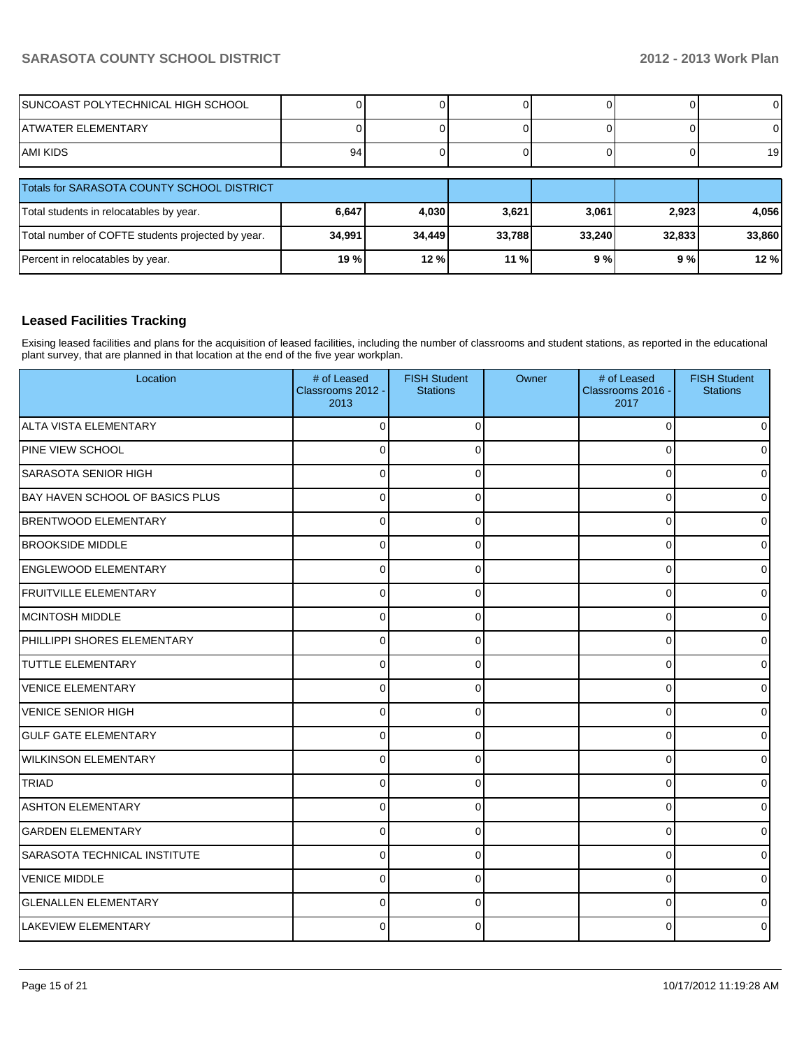| SUNCOAST POLYTECHNICAL HIGH SCHOOL |    |  |  |    |
|------------------------------------|----|--|--|----|
| ATWATER ELEMENTARY                 |    |  |  |    |
| IAMI KIDS                          | 94 |  |  | 19 |

| Totals for SARASOTA COUNTY SCHOOL DISTRICT        |        |        |        |        |        |        |
|---------------------------------------------------|--------|--------|--------|--------|--------|--------|
| Total students in relocatables by year.           | 6,647  | 4,030  | 3,621  | 3,061  | 2,923  | 4.056  |
| Total number of COFTE students projected by year. | 34,991 | 34.449 | 33,788 | 33.240 | 32,833 | 33,860 |
| Percent in relocatables by year.                  | 19 %   | 12%    | 11%    | 9%     | 9 % l  | 12 %   |

# **Leased Facilities Tracking**

Exising leased facilities and plans for the acquisition of leased facilities, including the number of classrooms and student stations, as reported in the educational plant survey, that are planned in that location at the end of the five year workplan.

| Location                            | # of Leased<br>Classrooms 2012 -<br>2013 | <b>FISH Student</b><br><b>Stations</b> | Owner | # of Leased<br>Classrooms 2016 -<br>2017 | <b>FISH Student</b><br><b>Stations</b> |
|-------------------------------------|------------------------------------------|----------------------------------------|-------|------------------------------------------|----------------------------------------|
| ALTA VISTA ELEMENTARY               | $\Omega$                                 | $\Omega$                               |       | $\mathbf 0$                              | $\Omega$                               |
| PINE VIEW SCHOOL                    | $\mathbf 0$                              | $\Omega$                               |       | $\mathbf 0$                              |                                        |
| <b>SARASOTA SENIOR HIGH</b>         | 0                                        | $\Omega$                               |       | 0                                        |                                        |
| BAY HAVEN SCHOOL OF BASICS PLUS     | $\Omega$                                 | $\Omega$                               |       | 0                                        | o                                      |
| <b>BRENTWOOD ELEMENTARY</b>         | $\Omega$                                 | $\Omega$                               |       | 0                                        | 0                                      |
| <b>BROOKSIDE MIDDLE</b>             | $\Omega$                                 | $\Omega$                               |       | 0                                        | n                                      |
| <b>ENGLEWOOD ELEMENTARY</b>         | 0                                        | 0                                      |       | 0                                        | o                                      |
| <b>FRUITVILLE ELEMENTARY</b>        | ŋ                                        |                                        |       | 0                                        |                                        |
| IMCINTOSH MIDDLE                    | 0                                        | <sup>0</sup>                           |       | 0                                        | n                                      |
| PHILLIPPI SHORES ELEMENTARY         | $\Omega$                                 | $\Omega$                               |       | 0                                        | U                                      |
| <b>TUTTLE ELEMENTARY</b>            | $\Omega$                                 | $\Omega$                               |       | $\mathbf 0$                              |                                        |
| <b>VENICE ELEMENTARY</b>            | $\Omega$                                 | $\Omega$                               |       | $\Omega$                                 | ი                                      |
| VENICE SENIOR HIGH                  | $\mathbf 0$                              | $\mathbf{0}$                           |       | $\mathbf 0$                              | n                                      |
| <b>GULF GATE ELEMENTARY</b>         | $\Omega$                                 | 0                                      |       | 0                                        | 0                                      |
| <b>WILKINSON ELEMENTARY</b>         | $\Omega$                                 | $\Omega$                               |       | 0                                        | 0                                      |
| <b>TRIAD</b>                        | $\Omega$                                 | $\Omega$                               |       | 0                                        | 0                                      |
| <b>ASHTON ELEMENTARY</b>            | O                                        |                                        |       | 0                                        | n                                      |
| <b>GARDEN ELEMENTARY</b>            | $\Omega$                                 | $\Omega$                               |       | 0                                        | U                                      |
| <b>SARASOTA TECHNICAL INSTITUTE</b> | O                                        | O                                      |       | 0                                        | U                                      |
| <b>VENICE MIDDLE</b>                | $\Omega$                                 | $\Omega$                               |       | 0                                        |                                        |
| <b>GLENALLEN ELEMENTARY</b>         | $\overline{0}$                           | $\Omega$                               |       | $\mathbf 0$                              |                                        |
| LAKEVIEW ELEMENTARY                 | 0                                        | ∩                                      |       | $\Omega$                                 |                                        |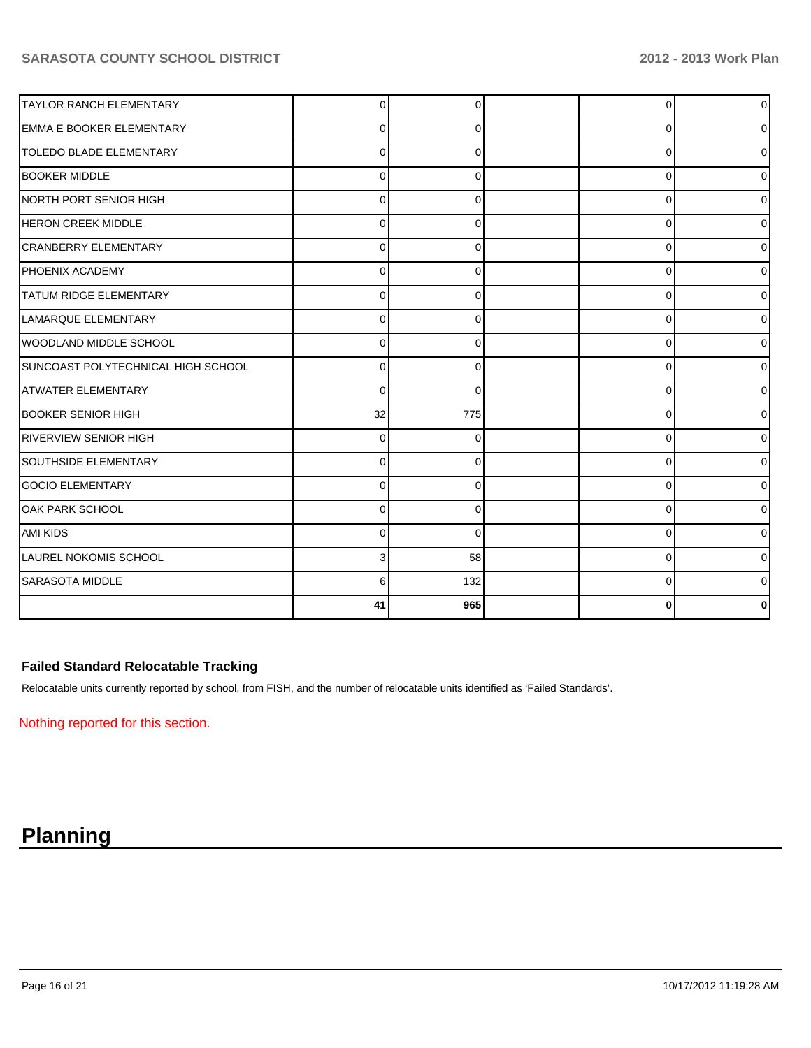| <b>TAYLOR RANCH ELEMENTARY</b>     | 0        | ∩        | 0        | 0            |
|------------------------------------|----------|----------|----------|--------------|
| <b>EMMA E BOOKER ELEMENTARY</b>    | 0        | $\Omega$ | 0        |              |
| <b>TOLEDO BLADE ELEMENTARY</b>     | U        | 0        | 0        | U            |
| <b>BOOKER MIDDLE</b>               | 0        | ∩        | 0        | 0            |
| NORTH PORT SENIOR HIGH             | $\Omega$ | 0        | 0        | 0            |
| HERON CREEK MIDDLE                 | 0        | 0        | 0        | U            |
| <b>CRANBERRY ELEMENTARY</b>        | $\Omega$ |          | 0        | ი            |
| <b>PHOENIX ACADEMY</b>             | 0        |          | $\Omega$ |              |
| <b>TATUM RIDGE ELEMENTARY</b>      | $\Omega$ | 0        | $\Omega$ | U            |
| LAMARQUE ELEMENTARY                | 0        | $\Omega$ | 0        | o            |
| WOODLAND MIDDLE SCHOOL             | $\Omega$ |          | $\Omega$ |              |
| SUNCOAST POLYTECHNICAL HIGH SCHOOL | $\Omega$ | 0        | $\Omega$ |              |
| latwater elementary                | $\Omega$ | $\Omega$ | 0        | 0            |
| <b>BOOKER SENIOR HIGH</b>          | 32       | 775      | 0        |              |
| <b>RIVERVIEW SENIOR HIGH</b>       | $\Omega$ | 0        | $\Omega$ |              |
| <b>SOUTHSIDE ELEMENTARY</b>        | U        |          | 0        |              |
| <b>GOCIO ELEMENTARY</b>            | U        | ∩        | $\Omega$ | U            |
| <b>OAK PARK SCHOOL</b>             | 0        | $\Omega$ | 0        | U            |
| <b>AMI KIDS</b>                    | U        | $\Omega$ | 0        | U            |
| <b>LAUREL NOKOMIS SCHOOL</b>       |          | 58       | 0        | <sup>0</sup> |
| SARASOTA MIDDLE                    | 6        | 132      | $\Omega$ |              |
|                                    | 41       | 965      | 0        |              |

# **Failed Standard Relocatable Tracking**

Relocatable units currently reported by school, from FISH, and the number of relocatable units identified as 'Failed Standards'.

Nothing reported for this section.

# **Planning**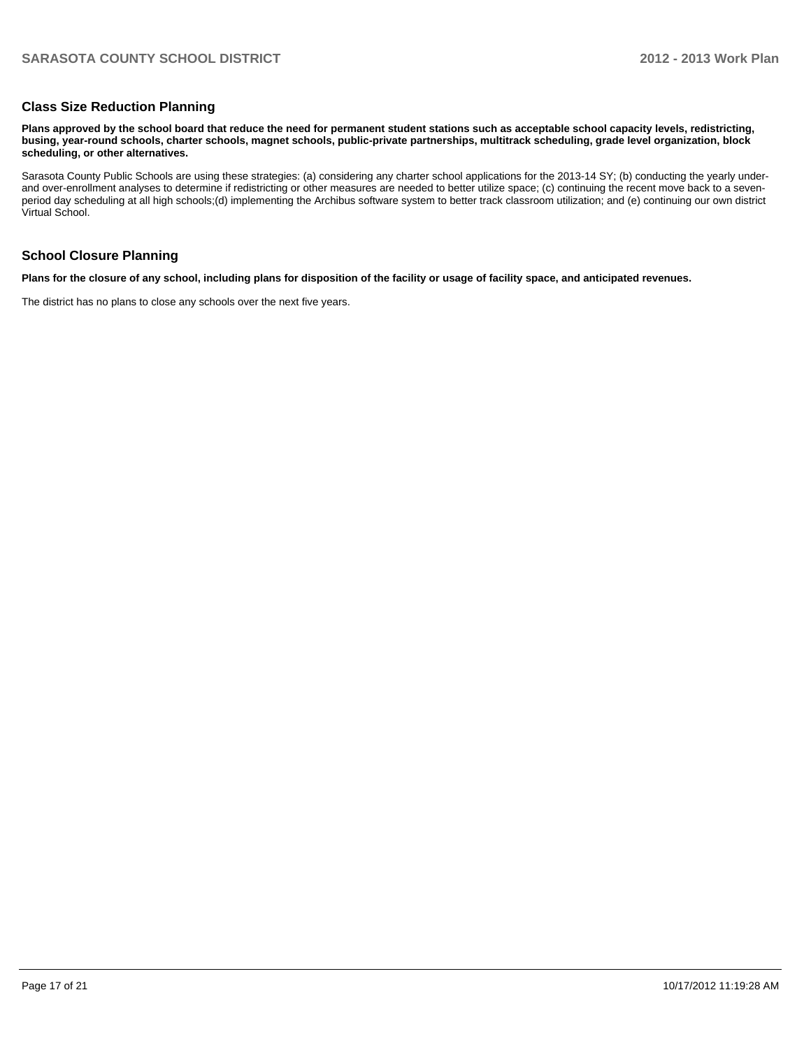#### **Class Size Reduction Planning**

**Plans approved by the school board that reduce the need for permanent student stations such as acceptable school capacity levels, redistricting, busing, year-round schools, charter schools, magnet schools, public-private partnerships, multitrack scheduling, grade level organization, block scheduling, or other alternatives.**

Sarasota County Public Schools are using these strategies: (a) considering any charter school applications for the 2013-14 SY; (b) conducting the yearly underand over-enrollment analyses to determine if redistricting or other measures are needed to better utilize space; (c) continuing the recent move back to a sevenperiod day scheduling at all high schools;(d) implementing the Archibus software system to better track classroom utilization; and (e) continuing our own district Virtual School.

#### **School Closure Planning**

**Plans for the closure of any school, including plans for disposition of the facility or usage of facility space, and anticipated revenues.**

The district has no plans to close any schools over the next five years.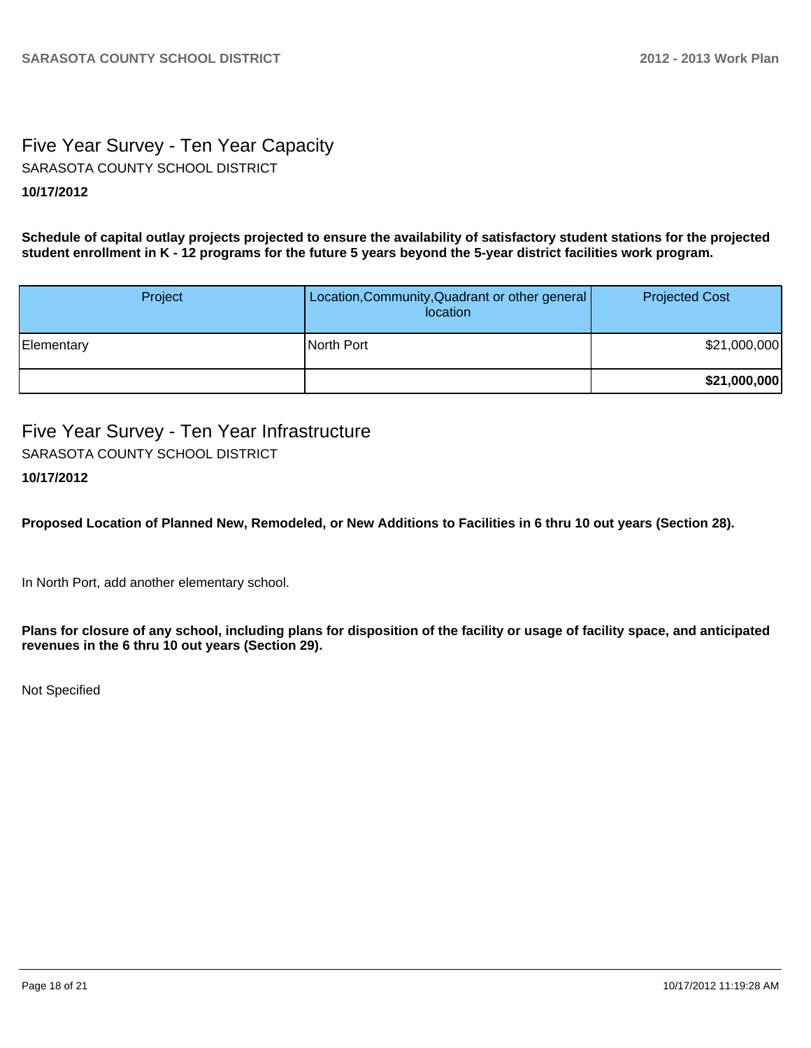# Five Year Survey - Ten Year Capacity **10/17/2012** SARASOTA COUNTY SCHOOL DISTRICT

**Schedule of capital outlay projects projected to ensure the availability of satisfactory student stations for the projected student enrollment in K - 12 programs for the future 5 years beyond the 5-year district facilities work program.**

| Project    | Location, Community, Quadrant or other general<br>location | <b>Projected Cost</b> |
|------------|------------------------------------------------------------|-----------------------|
| Elementary | North Port                                                 | \$21,000,000          |
|            |                                                            | \$21,000,000          |

Five Year Survey - Ten Year Infrastructure **10/17/2012** SARASOTA COUNTY SCHOOL DISTRICT

**Proposed Location of Planned New, Remodeled, or New Additions to Facilities in 6 thru 10 out years (Section 28).**

In North Port, add another elementary school.

**Plans for closure of any school, including plans for disposition of the facility or usage of facility space, and anticipated revenues in the 6 thru 10 out years (Section 29).**

Not Specified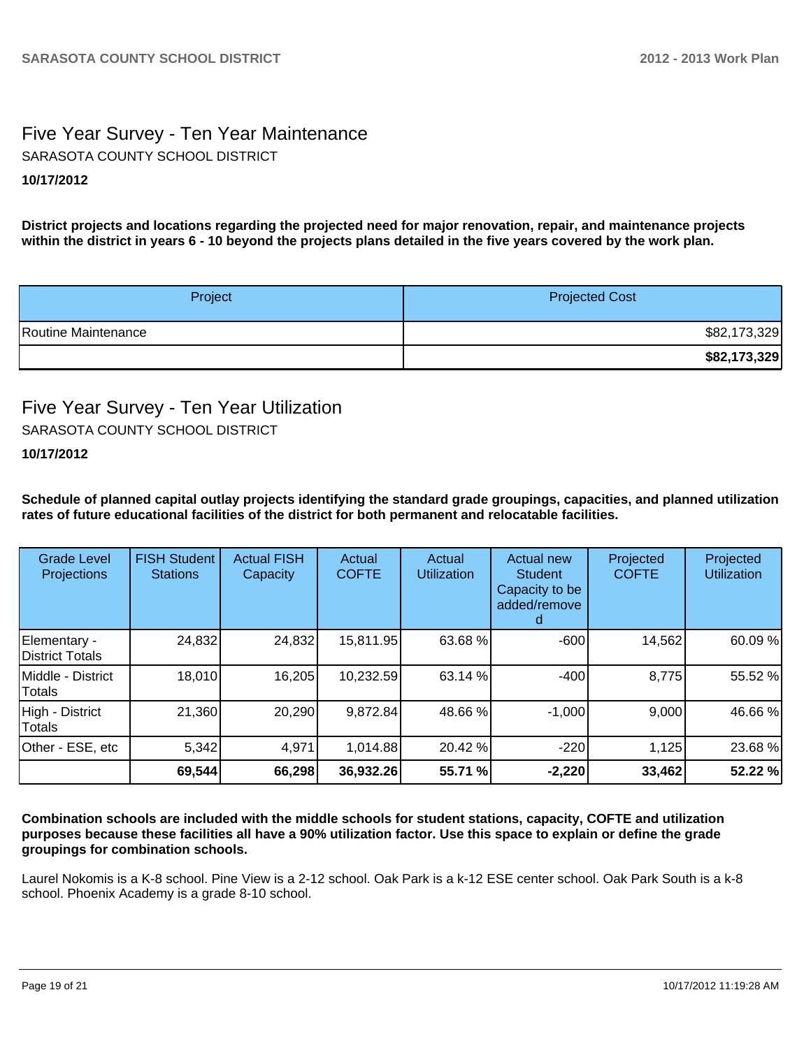# Five Year Survey - Ten Year Maintenance **10/17/2012** SARASOTA COUNTY SCHOOL DISTRICT

**District projects and locations regarding the projected need for major renovation, repair, and maintenance projects within the district in years 6 - 10 beyond the projects plans detailed in the five years covered by the work plan.**

| Project             | <b>Projected Cost</b> |  |  |
|---------------------|-----------------------|--|--|
| Routine Maintenance | \$82,173,329          |  |  |
|                     | \$82,173,329          |  |  |

# Five Year Survey - Ten Year Utilization SARASOTA COUNTY SCHOOL DISTRICT

# **10/17/2012**

**Schedule of planned capital outlay projects identifying the standard grade groupings, capacities, and planned utilization rates of future educational facilities of the district for both permanent and relocatable facilities.**

| <b>Grade Level</b><br>Projections       | <b>FISH Student</b><br><b>Stations</b> | <b>Actual FISH</b><br>Capacity | Actual<br><b>COFTE</b> | Actual<br><b>Utilization</b> | Actual new<br>Student<br>Capacity to be<br>added/remove | Projected<br><b>COFTE</b> | Projected<br>Utilization |
|-----------------------------------------|----------------------------------------|--------------------------------|------------------------|------------------------------|---------------------------------------------------------|---------------------------|--------------------------|
| Elementary -<br><b>IDistrict Totals</b> | 24,832                                 | 24,832                         | 15,811.95              | 63.68 %                      | $-600$                                                  | 14,562                    | 60.09 %                  |
| Middle - District<br>Totals             | 18,010                                 | 16,205                         | 10,232.59              | 63.14 %                      | $-400$                                                  | 8,775                     | 55.52 %                  |
| High - District<br>Totals               | 21,360                                 | 20,290                         | 9,872.84               | 48.66 %                      | $-1,000$                                                | 9,000                     | 46.66 %                  |
| Other - ESE, etc                        | 5,342                                  | 4,971                          | 1,014.88               | 20.42 %                      | $-220$                                                  | 1,125                     | 23.68 %                  |
|                                         | 69,544                                 | 66,298                         | 36,932.26              | 55.71 %                      | $-2,220$                                                | 33,462                    | 52.22 %                  |

**Combination schools are included with the middle schools for student stations, capacity, COFTE and utilization purposes because these facilities all have a 90% utilization factor. Use this space to explain or define the grade groupings for combination schools.**

Laurel Nokomis is a K-8 school. Pine View is a 2-12 school. Oak Park is a k-12 ESE center school. Oak Park South is a k-8 school. Phoenix Academy is a grade 8-10 school.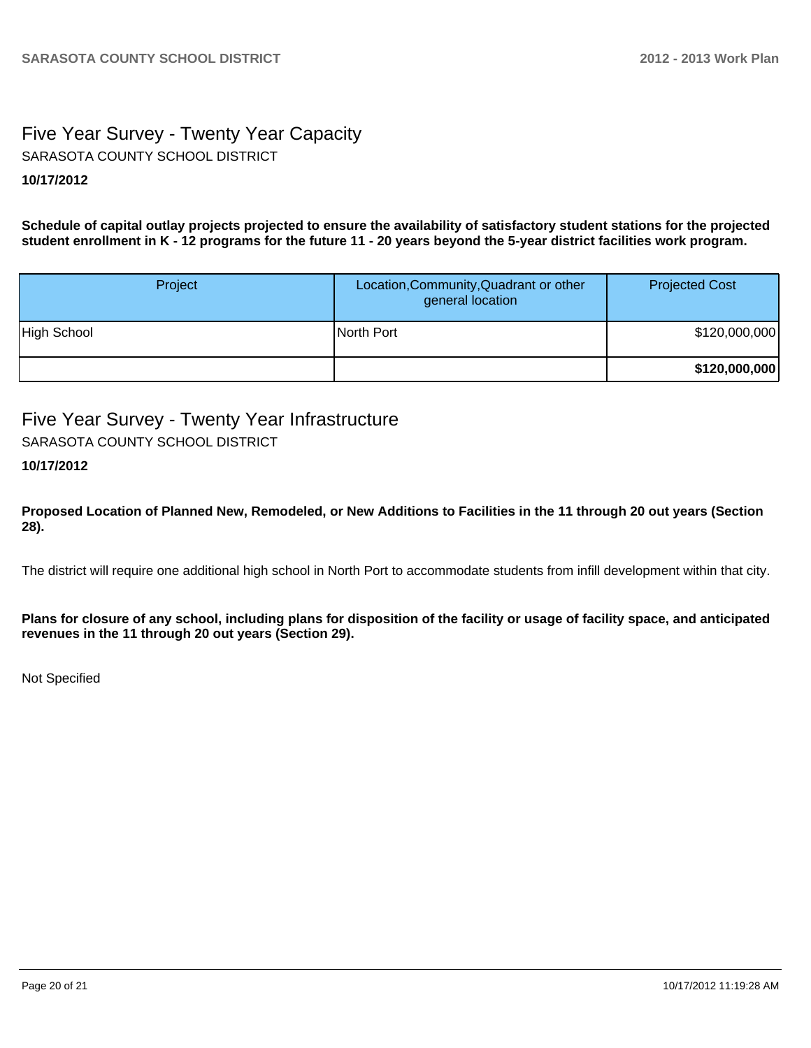# Five Year Survey - Twenty Year Capacity **10/17/2012** SARASOTA COUNTY SCHOOL DISTRICT

**Schedule of capital outlay projects projected to ensure the availability of satisfactory student stations for the projected student enrollment in K - 12 programs for the future 11 - 20 years beyond the 5-year district facilities work program.**

| Project     | Location, Community, Quadrant or other<br>general location | <b>Projected Cost</b> |
|-------------|------------------------------------------------------------|-----------------------|
| High School | North Port                                                 | \$120,000,000         |
|             |                                                            | \$120,000,000         |

# Five Year Survey - Twenty Year Infrastructure

SARASOTA COUNTY SCHOOL DISTRICT

# **10/17/2012**

**Proposed Location of Planned New, Remodeled, or New Additions to Facilities in the 11 through 20 out years (Section 28).**

The district will require one additional high school in North Port to accommodate students from infill development within that city.

**Plans for closure of any school, including plans for disposition of the facility or usage of facility space, and anticipated revenues in the 11 through 20 out years (Section 29).**

Not Specified